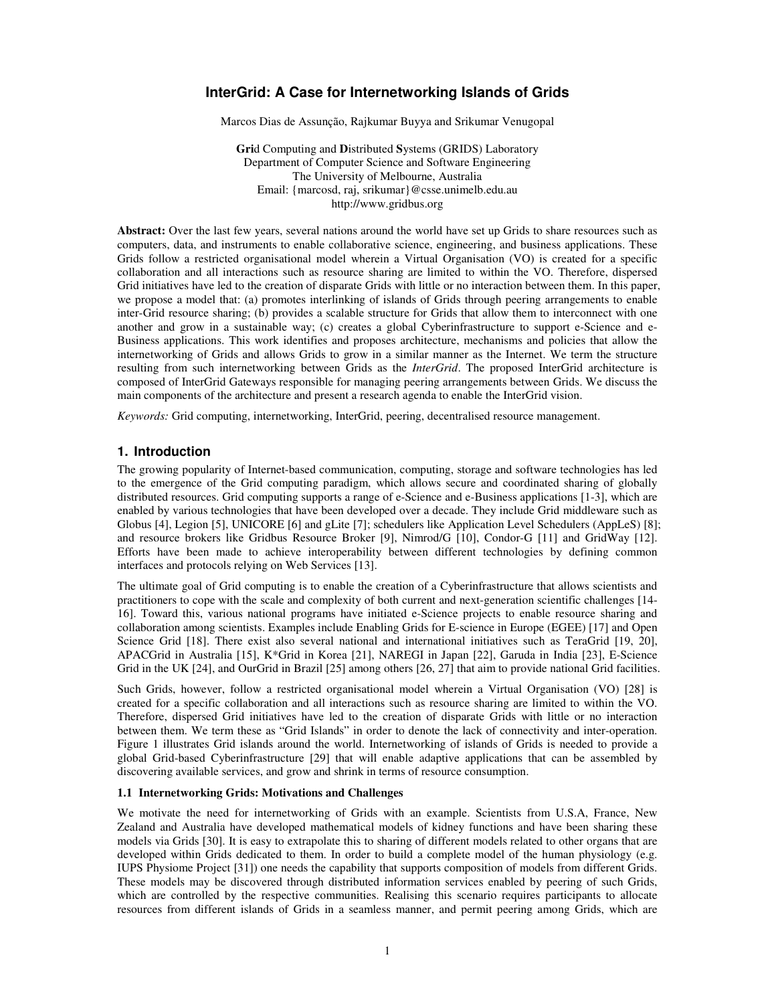# **InterGrid: A Case for Internetworking Islands of Grids**

Marcos Dias de Assunção, Rajkumar Buyya and Srikumar Venugopal

**Gri**d Computing and **D**istributed **S**ystems (GRIDS) Laboratory Department of Computer Science and Software Engineering The University of Melbourne, Australia Email: {marcosd, raj, srikumar}@csse.unimelb.edu.au http://www.gridbus.org

**Abstract:** Over the last few years, several nations around the world have set up Grids to share resources such as computers, data, and instruments to enable collaborative science, engineering, and business applications. These Grids follow a restricted organisational model wherein a Virtual Organisation (VO) is created for a specific collaboration and all interactions such as resource sharing are limited to within the VO. Therefore, dispersed Grid initiatives have led to the creation of disparate Grids with little or no interaction between them. In this paper, we propose a model that: (a) promotes interlinking of islands of Grids through peering arrangements to enable inter-Grid resource sharing; (b) provides a scalable structure for Grids that allow them to interconnect with one another and grow in a sustainable way; (c) creates a global Cyberinfrastructure to support e-Science and e-Business applications. This work identifies and proposes architecture, mechanisms and policies that allow the internetworking of Grids and allows Grids to grow in a similar manner as the Internet. We term the structure resulting from such internetworking between Grids as the *InterGrid*. The proposed InterGrid architecture is composed of InterGrid Gateways responsible for managing peering arrangements between Grids. We discuss the main components of the architecture and present a research agenda to enable the InterGrid vision.

*Keywords:* Grid computing, internetworking, InterGrid, peering, decentralised resource management.

# **1. Introduction**

The growing popularity of Internet-based communication, computing, storage and software technologies has led to the emergence of the Grid computing paradigm, which allows secure and coordinated sharing of globally distributed resources. Grid computing supports a range of e-Science and e-Business applications [1-3], which are enabled by various technologies that have been developed over a decade. They include Grid middleware such as Globus [4], Legion [5], UNICORE [6] and gLite [7]; schedulers like Application Level Schedulers (AppLeS) [8]; and resource brokers like Gridbus Resource Broker [9], Nimrod/G [10], Condor-G [11] and GridWay [12]. Efforts have been made to achieve interoperability between different technologies by defining common interfaces and protocols relying on Web Services [13].

The ultimate goal of Grid computing is to enable the creation of a Cyberinfrastructure that allows scientists and practitioners to cope with the scale and complexity of both current and next-generation scientific challenges [14- 16]. Toward this, various national programs have initiated e-Science projects to enable resource sharing and collaboration among scientists. Examples include Enabling Grids for E-science in Europe (EGEE) [17] and Open Science Grid [18]. There exist also several national and international initiatives such as TeraGrid [19, 20], APACGrid in Australia [15], K\*Grid in Korea [21], NAREGI in Japan [22], Garuda in India [23], E-Science Grid in the UK [24], and OurGrid in Brazil [25] among others [26, 27] that aim to provide national Grid facilities.

Such Grids, however, follow a restricted organisational model wherein a Virtual Organisation (VO) [28] is created for a specific collaboration and all interactions such as resource sharing are limited to within the VO. Therefore, dispersed Grid initiatives have led to the creation of disparate Grids with little or no interaction between them. We term these as "Grid Islands" in order to denote the lack of connectivity and inter-operation. Figure 1 illustrates Grid islands around the world. Internetworking of islands of Grids is needed to provide a global Grid-based Cyberinfrastructure [29] that will enable adaptive applications that can be assembled by discovering available services, and grow and shrink in terms of resource consumption.

### **1.1 Internetworking Grids: Motivations and Challenges**

We motivate the need for internetworking of Grids with an example. Scientists from U.S.A, France, New Zealand and Australia have developed mathematical models of kidney functions and have been sharing these models via Grids [30]. It is easy to extrapolate this to sharing of different models related to other organs that are developed within Grids dedicated to them. In order to build a complete model of the human physiology (e.g. IUPS Physiome Project [31]) one needs the capability that supports composition of models from different Grids. These models may be discovered through distributed information services enabled by peering of such Grids, which are controlled by the respective communities. Realising this scenario requires participants to allocate resources from different islands of Grids in a seamless manner, and permit peering among Grids, which are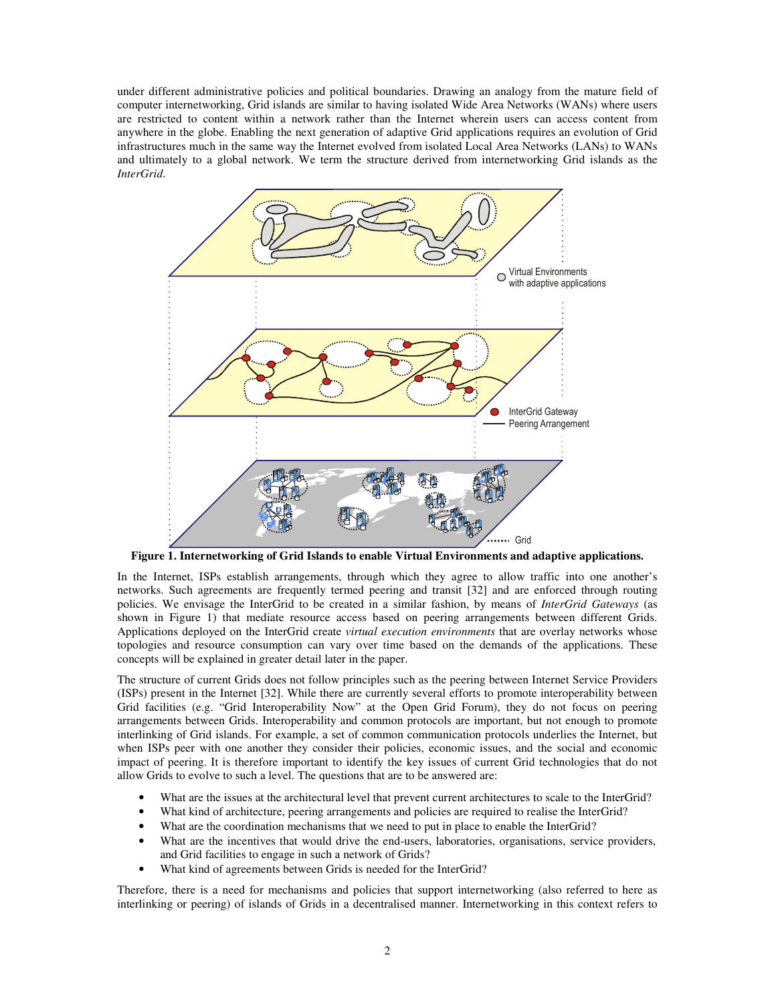under different administrative policies and political boundaries. Drawing an analogy from the mature field of computer internetworking, Grid islands are similar to having isolated Wide Area Networks (WANs) where users are restricted to content within a network rather than the Internet wherein users can access content from anywhere in the globe. Enabling the next generation of adaptive Grid applications requires an evolution of Grid infrastructures much in the same way the Internet evolved from isolated Local Area Networks (LANs) to WANs and ultimately to a global network. We term the structure derived from internetworking Grid islands as the *InterGrid*.



**Figure 1. Internetworking of Grid Islands to enable Virtual Environments and adaptive applications.** 

In the Internet, ISPs establish arrangements, through which they agree to allow traffic into one another's networks. Such agreements are frequently termed peering and transit [32] and are enforced through routing policies. We envisage the InterGrid to be created in a similar fashion, by means of *InterGrid Gateways* (as shown in Figure 1) that mediate resource access based on peering arrangements between different Grids. Applications deployed on the InterGrid create *virtual execution environments* that are overlay networks whose topologies and resource consumption can vary over time based on the demands of the applications. These concepts will be explained in greater detail later in the paper.

The structure of current Grids does not follow principles such as the peering between Internet Service Providers (ISPs) present in the Internet [32]. While there are currently several efforts to promote interoperability between Grid facilities (e.g. "Grid Interoperability Now" at the Open Grid Forum), they do not focus on peering arrangements between Grids. Interoperability and common protocols are important, but not enough to promote interlinking of Grid islands. For example, a set of common communication protocols underlies the Internet, but when ISPs peer with one another they consider their policies, economic issues, and the social and economic impact of peering. It is therefore important to identify the key issues of current Grid technologies that do not allow Grids to evolve to such a level. The questions that are to be answered are:

- What are the issues at the architectural level that prevent current architectures to scale to the InterGrid?
- What kind of architecture, peering arrangements and policies are required to realise the InterGrid?
- What are the coordination mechanisms that we need to put in place to enable the InterGrid?
- What are the incentives that would drive the end-users, laboratories, organisations, service providers, and Grid facilities to engage in such a network of Grids?
- What kind of agreements between Grids is needed for the InterGrid?

Therefore, there is a need for mechanisms and policies that support internetworking (also referred to here as interlinking or peering) of islands of Grids in a decentralised manner. Internetworking in this context refers to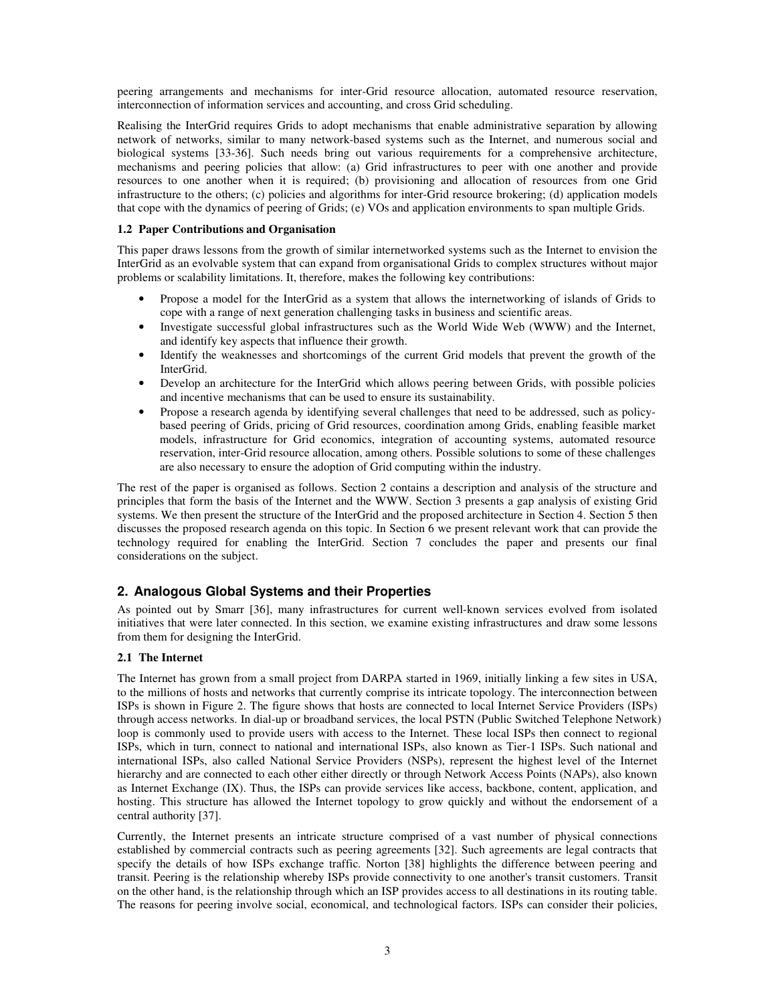peering arrangements and mechanisms for inter-Grid resource allocation, automated resource reservation, interconnection of information services and accounting, and cross Grid scheduling.

Realising the InterGrid requires Grids to adopt mechanisms that enable administrative separation by allowing network of networks, similar to many network-based systems such as the Internet, and numerous social and biological systems [33-36]. Such needs bring out various requirements for a comprehensive architecture, mechanisms and peering policies that allow: (a) Grid infrastructures to peer with one another and provide resources to one another when it is required; (b) provisioning and allocation of resources from one Grid infrastructure to the others; (c) policies and algorithms for inter-Grid resource brokering; (d) application models that cope with the dynamics of peering of Grids; (e) VOs and application environments to span multiple Grids.

# **1.2 Paper Contributions and Organisation**

This paper draws lessons from the growth of similar internetworked systems such as the Internet to envision the InterGrid as an evolvable system that can expand from organisational Grids to complex structures without major problems or scalability limitations. It, therefore, makes the following key contributions:

- Propose a model for the InterGrid as a system that allows the internetworking of islands of Grids to cope with a range of next generation challenging tasks in business and scientific areas.
- Investigate successful global infrastructures such as the World Wide Web (WWW) and the Internet, and identify key aspects that influence their growth.
- Identify the weaknesses and shortcomings of the current Grid models that prevent the growth of the InterGrid.
- Develop an architecture for the InterGrid which allows peering between Grids, with possible policies and incentive mechanisms that can be used to ensure its sustainability.
- Propose a research agenda by identifying several challenges that need to be addressed, such as policybased peering of Grids, pricing of Grid resources, coordination among Grids, enabling feasible market models, infrastructure for Grid economics, integration of accounting systems, automated resource reservation, inter-Grid resource allocation, among others. Possible solutions to some of these challenges are also necessary to ensure the adoption of Grid computing within the industry.

The rest of the paper is organised as follows. Section 2 contains a description and analysis of the structure and principles that form the basis of the Internet and the WWW. Section 3 presents a gap analysis of existing Grid systems. We then present the structure of the InterGrid and the proposed architecture in Section 4. Section 5 then discusses the proposed research agenda on this topic. In Section 6 we present relevant work that can provide the technology required for enabling the InterGrid. Section 7 concludes the paper and presents our final considerations on the subject.

# **2. Analogous Global Systems and their Properties**

As pointed out by Smarr [36], many infrastructures for current well-known services evolved from isolated initiatives that were later connected. In this section, we examine existing infrastructures and draw some lessons from them for designing the InterGrid.

#### **2.1 The Internet**

The Internet has grown from a small project from DARPA started in 1969, initially linking a few sites in USA, to the millions of hosts and networks that currently comprise its intricate topology. The interconnection between ISPs is shown in Figure 2. The figure shows that hosts are connected to local Internet Service Providers (ISPs) through access networks. In dial-up or broadband services, the local PSTN (Public Switched Telephone Network) loop is commonly used to provide users with access to the Internet. These local ISPs then connect to regional ISPs, which in turn, connect to national and international ISPs, also known as Tier-1 ISPs. Such national and international ISPs, also called National Service Providers (NSPs), represent the highest level of the Internet hierarchy and are connected to each other either directly or through Network Access Points (NAPs), also known as Internet Exchange (IX). Thus, the ISPs can provide services like access, backbone, content, application, and hosting. This structure has allowed the Internet topology to grow quickly and without the endorsement of a central authority [37].

Currently, the Internet presents an intricate structure comprised of a vast number of physical connections established by commercial contracts such as peering agreements [32]. Such agreements are legal contracts that specify the details of how ISPs exchange traffic. Norton [38] highlights the difference between peering and transit. Peering is the relationship whereby ISPs provide connectivity to one another's transit customers. Transit on the other hand, is the relationship through which an ISP provides access to all destinations in its routing table. The reasons for peering involve social, economical, and technological factors. ISPs can consider their policies,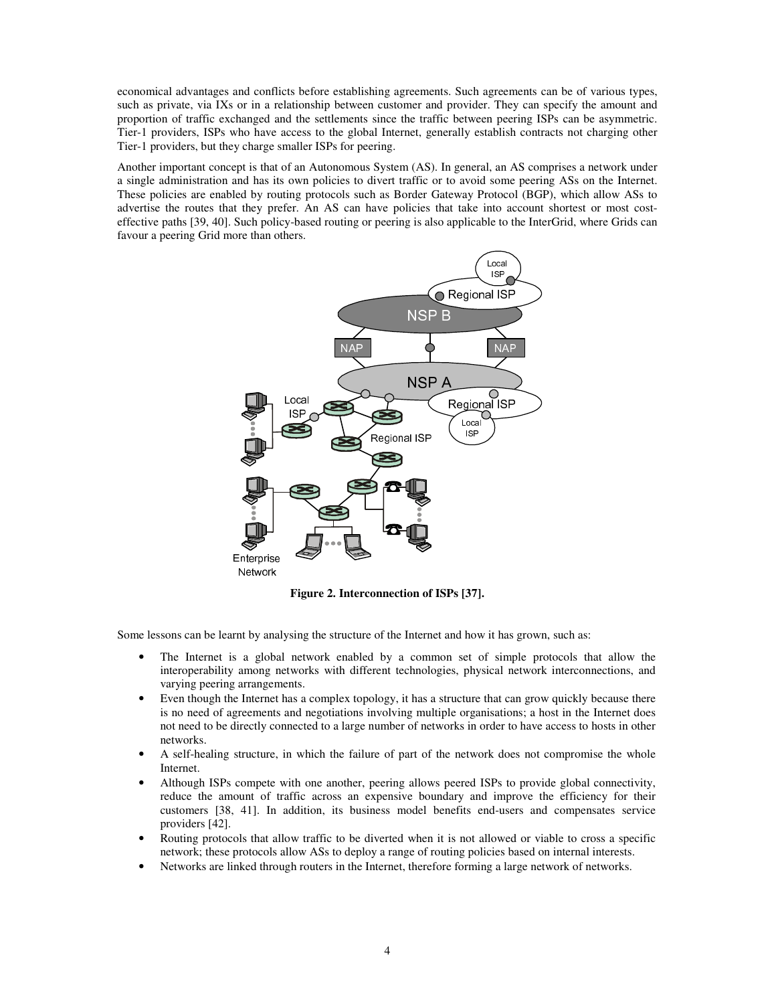economical advantages and conflicts before establishing agreements. Such agreements can be of various types, such as private, via IXs or in a relationship between customer and provider. They can specify the amount and proportion of traffic exchanged and the settlements since the traffic between peering ISPs can be asymmetric. Tier-1 providers, ISPs who have access to the global Internet, generally establish contracts not charging other Tier-1 providers, but they charge smaller ISPs for peering.

Another important concept is that of an Autonomous System (AS). In general, an AS comprises a network under a single administration and has its own policies to divert traffic or to avoid some peering ASs on the Internet. These policies are enabled by routing protocols such as Border Gateway Protocol (BGP), which allow ASs to advertise the routes that they prefer. An AS can have policies that take into account shortest or most costeffective paths [39, 40]. Such policy-based routing or peering is also applicable to the InterGrid, where Grids can favour a peering Grid more than others.



**Figure 2. Interconnection of ISPs [37].**

Some lessons can be learnt by analysing the structure of the Internet and how it has grown, such as:

- The Internet is a global network enabled by a common set of simple protocols that allow the interoperability among networks with different technologies, physical network interconnections, and varying peering arrangements.
- Even though the Internet has a complex topology, it has a structure that can grow quickly because there is no need of agreements and negotiations involving multiple organisations; a host in the Internet does not need to be directly connected to a large number of networks in order to have access to hosts in other networks.
- A self-healing structure, in which the failure of part of the network does not compromise the whole Internet.
- Although ISPs compete with one another, peering allows peered ISPs to provide global connectivity, reduce the amount of traffic across an expensive boundary and improve the efficiency for their customers [38, 41]. In addition, its business model benefits end-users and compensates service providers [42].
- Routing protocols that allow traffic to be diverted when it is not allowed or viable to cross a specific network; these protocols allow ASs to deploy a range of routing policies based on internal interests.
- Networks are linked through routers in the Internet, therefore forming a large network of networks.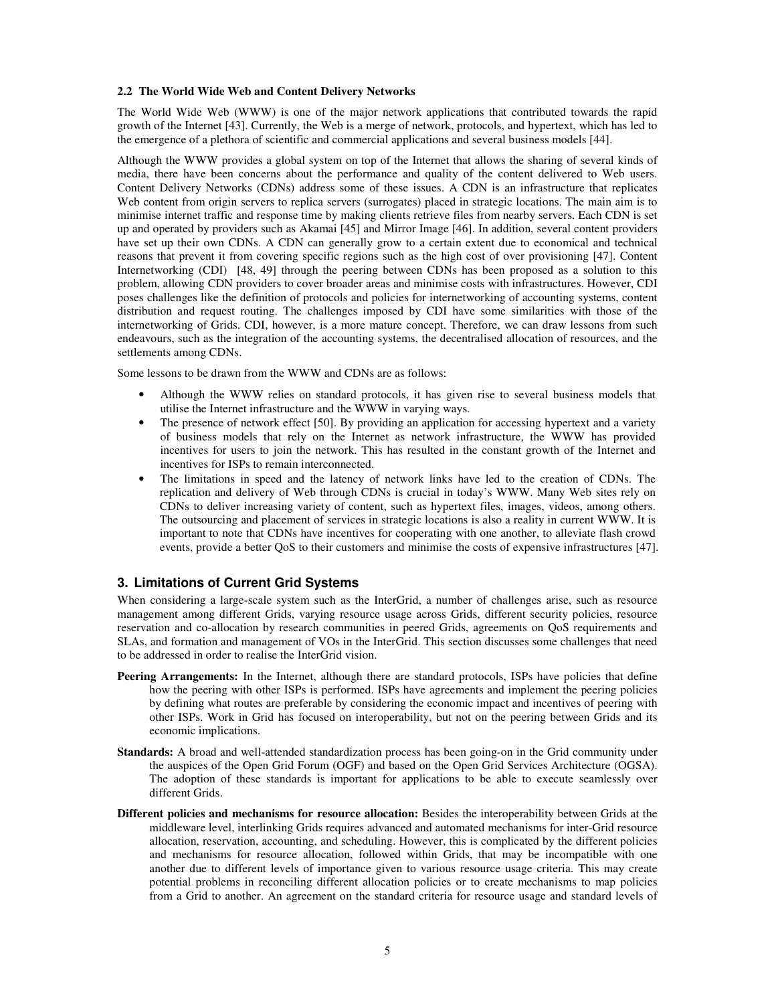## **2.2 The World Wide Web and Content Delivery Networks**

The World Wide Web (WWW) is one of the major network applications that contributed towards the rapid growth of the Internet [43]. Currently, the Web is a merge of network, protocols, and hypertext, which has led to the emergence of a plethora of scientific and commercial applications and several business models [44].

Although the WWW provides a global system on top of the Internet that allows the sharing of several kinds of media, there have been concerns about the performance and quality of the content delivered to Web users. Content Delivery Networks (CDNs) address some of these issues. A CDN is an infrastructure that replicates Web content from origin servers to replica servers (surrogates) placed in strategic locations. The main aim is to minimise internet traffic and response time by making clients retrieve files from nearby servers. Each CDN is set up and operated by providers such as Akamai [45] and Mirror Image [46]. In addition, several content providers have set up their own CDNs. A CDN can generally grow to a certain extent due to economical and technical reasons that prevent it from covering specific regions such as the high cost of over provisioning [47]. Content Internetworking (CDI) [48, 49] through the peering between CDNs has been proposed as a solution to this problem, allowing CDN providers to cover broader areas and minimise costs with infrastructures. However, CDI poses challenges like the definition of protocols and policies for internetworking of accounting systems, content distribution and request routing. The challenges imposed by CDI have some similarities with those of the internetworking of Grids. CDI, however, is a more mature concept. Therefore, we can draw lessons from such endeavours, such as the integration of the accounting systems, the decentralised allocation of resources, and the settlements among CDNs.

Some lessons to be drawn from the WWW and CDNs are as follows:

- Although the WWW relies on standard protocols, it has given rise to several business models that utilise the Internet infrastructure and the WWW in varying ways.
- The presence of network effect [50]. By providing an application for accessing hypertext and a variety of business models that rely on the Internet as network infrastructure, the WWW has provided incentives for users to join the network. This has resulted in the constant growth of the Internet and incentives for ISPs to remain interconnected.
- The limitations in speed and the latency of network links have led to the creation of CDNs. The replication and delivery of Web through CDNs is crucial in today's WWW. Many Web sites rely on CDNs to deliver increasing variety of content, such as hypertext files, images, videos, among others. The outsourcing and placement of services in strategic locations is also a reality in current WWW. It is important to note that CDNs have incentives for cooperating with one another, to alleviate flash crowd events, provide a better QoS to their customers and minimise the costs of expensive infrastructures [47].

# **3. Limitations of Current Grid Systems**

When considering a large-scale system such as the InterGrid, a number of challenges arise, such as resource management among different Grids, varying resource usage across Grids, different security policies, resource reservation and co-allocation by research communities in peered Grids, agreements on QoS requirements and SLAs, and formation and management of VOs in the InterGrid. This section discusses some challenges that need to be addressed in order to realise the InterGrid vision.

- **Peering Arrangements:** In the Internet, although there are standard protocols, ISPs have policies that define how the peering with other ISPs is performed. ISPs have agreements and implement the peering policies by defining what routes are preferable by considering the economic impact and incentives of peering with other ISPs. Work in Grid has focused on interoperability, but not on the peering between Grids and its economic implications.
- **Standards:** A broad and well-attended standardization process has been going-on in the Grid community under the auspices of the Open Grid Forum (OGF) and based on the Open Grid Services Architecture (OGSA). The adoption of these standards is important for applications to be able to execute seamlessly over different Grids.
- **Different policies and mechanisms for resource allocation:** Besides the interoperability between Grids at the middleware level, interlinking Grids requires advanced and automated mechanisms for inter-Grid resource allocation, reservation, accounting, and scheduling. However, this is complicated by the different policies and mechanisms for resource allocation, followed within Grids, that may be incompatible with one another due to different levels of importance given to various resource usage criteria. This may create potential problems in reconciling different allocation policies or to create mechanisms to map policies from a Grid to another. An agreement on the standard criteria for resource usage and standard levels of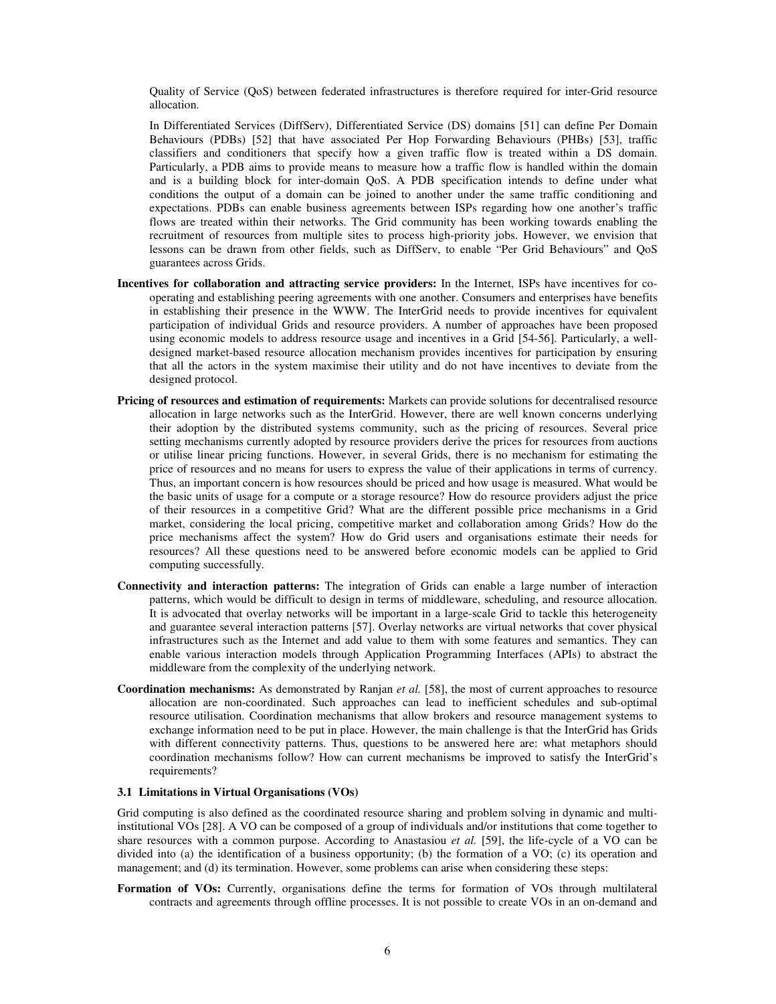Quality of Service (QoS) between federated infrastructures is therefore required for inter-Grid resource allocation.

In Differentiated Services (DiffServ), Differentiated Service (DS) domains [51] can define Per Domain Behaviours (PDBs) [52] that have associated Per Hop Forwarding Behaviours (PHBs) [53], traffic classifiers and conditioners that specify how a given traffic flow is treated within a DS domain. Particularly, a PDB aims to provide means to measure how a traffic flow is handled within the domain and is a building block for inter-domain QoS. A PDB specification intends to define under what conditions the output of a domain can be joined to another under the same traffic conditioning and expectations. PDBs can enable business agreements between ISPs regarding how one another's traffic flows are treated within their networks. The Grid community has been working towards enabling the recruitment of resources from multiple sites to process high-priority jobs. However, we envision that lessons can be drawn from other fields, such as DiffServ, to enable "Per Grid Behaviours" and QoS guarantees across Grids.

- **Incentives for collaboration and attracting service providers:** In the Internet, ISPs have incentives for cooperating and establishing peering agreements with one another. Consumers and enterprises have benefits in establishing their presence in the WWW. The InterGrid needs to provide incentives for equivalent participation of individual Grids and resource providers. A number of approaches have been proposed using economic models to address resource usage and incentives in a Grid [54-56]. Particularly, a welldesigned market-based resource allocation mechanism provides incentives for participation by ensuring that all the actors in the system maximise their utility and do not have incentives to deviate from the designed protocol.
- **Pricing of resources and estimation of requirements:** Markets can provide solutions for decentralised resource allocation in large networks such as the InterGrid. However, there are well known concerns underlying their adoption by the distributed systems community, such as the pricing of resources. Several price setting mechanisms currently adopted by resource providers derive the prices for resources from auctions or utilise linear pricing functions. However, in several Grids, there is no mechanism for estimating the price of resources and no means for users to express the value of their applications in terms of currency. Thus, an important concern is how resources should be priced and how usage is measured. What would be the basic units of usage for a compute or a storage resource? How do resource providers adjust the price of their resources in a competitive Grid? What are the different possible price mechanisms in a Grid market, considering the local pricing, competitive market and collaboration among Grids? How do the price mechanisms affect the system? How do Grid users and organisations estimate their needs for resources? All these questions need to be answered before economic models can be applied to Grid computing successfully.
- **Connectivity and interaction patterns:** The integration of Grids can enable a large number of interaction patterns, which would be difficult to design in terms of middleware, scheduling, and resource allocation. It is advocated that overlay networks will be important in a large-scale Grid to tackle this heterogeneity and guarantee several interaction patterns [57]. Overlay networks are virtual networks that cover physical infrastructures such as the Internet and add value to them with some features and semantics. They can enable various interaction models through Application Programming Interfaces (APIs) to abstract the middleware from the complexity of the underlying network.
- **Coordination mechanisms:** As demonstrated by Ranjan *et al.* [58], the most of current approaches to resource allocation are non-coordinated. Such approaches can lead to inefficient schedules and sub-optimal resource utilisation. Coordination mechanisms that allow brokers and resource management systems to exchange information need to be put in place. However, the main challenge is that the InterGrid has Grids with different connectivity patterns. Thus, questions to be answered here are: what metaphors should coordination mechanisms follow? How can current mechanisms be improved to satisfy the InterGrid's requirements?

## **3.1 Limitations in Virtual Organisations (VOs)**

Grid computing is also defined as the coordinated resource sharing and problem solving in dynamic and multiinstitutional VOs [28]. A VO can be composed of a group of individuals and/or institutions that come together to share resources with a common purpose. According to Anastasiou *et al.* [59], the life-cycle of a VO can be divided into (a) the identification of a business opportunity; (b) the formation of a VO; (c) its operation and management; and (d) its termination. However, some problems can arise when considering these steps:

**Formation of VOs:** Currently, organisations define the terms for formation of VOs through multilateral contracts and agreements through offline processes. It is not possible to create VOs in an on-demand and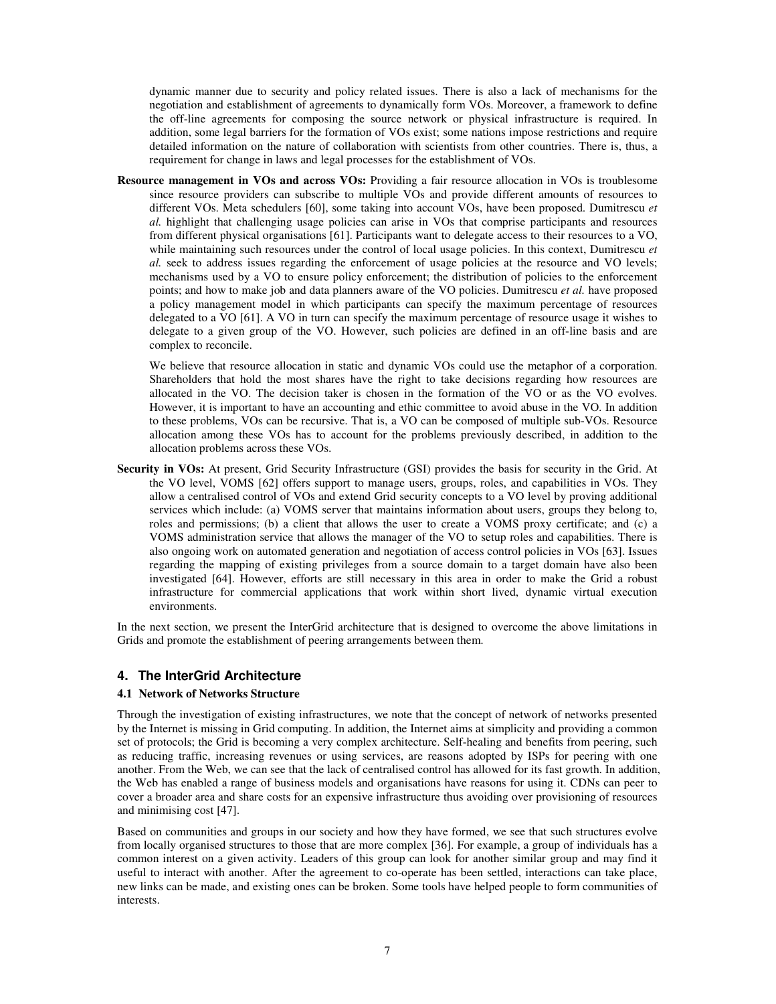dynamic manner due to security and policy related issues. There is also a lack of mechanisms for the negotiation and establishment of agreements to dynamically form VOs. Moreover, a framework to define the off-line agreements for composing the source network or physical infrastructure is required. In addition, some legal barriers for the formation of VOs exist; some nations impose restrictions and require detailed information on the nature of collaboration with scientists from other countries. There is, thus, a requirement for change in laws and legal processes for the establishment of VOs.

**Resource management in VOs and across VOs:** Providing a fair resource allocation in VOs is troublesome since resource providers can subscribe to multiple VOs and provide different amounts of resources to different VOs. Meta schedulers [60], some taking into account VOs, have been proposed. Dumitrescu *et al.* highlight that challenging usage policies can arise in VOs that comprise participants and resources from different physical organisations [61]. Participants want to delegate access to their resources to a VO, while maintaining such resources under the control of local usage policies. In this context, Dumitrescu *et al.* seek to address issues regarding the enforcement of usage policies at the resource and VO levels; mechanisms used by a VO to ensure policy enforcement; the distribution of policies to the enforcement points; and how to make job and data planners aware of the VO policies. Dumitrescu *et al.* have proposed a policy management model in which participants can specify the maximum percentage of resources delegated to a  $\rm\overline{VO}$  [61]. A VO in turn can specify the maximum percentage of resource usage it wishes to delegate to a given group of the VO. However, such policies are defined in an off-line basis and are complex to reconcile.

 We believe that resource allocation in static and dynamic VOs could use the metaphor of a corporation. Shareholders that hold the most shares have the right to take decisions regarding how resources are allocated in the VO. The decision taker is chosen in the formation of the VO or as the VO evolves. However, it is important to have an accounting and ethic committee to avoid abuse in the VO. In addition to these problems, VOs can be recursive. That is, a VO can be composed of multiple sub-VOs. Resource allocation among these VOs has to account for the problems previously described, in addition to the allocation problems across these VOs.

**Security in VOs:** At present, Grid Security Infrastructure (GSI) provides the basis for security in the Grid. At the VO level, VOMS [62] offers support to manage users, groups, roles, and capabilities in VOs. They allow a centralised control of VOs and extend Grid security concepts to a VO level by proving additional services which include: (a) VOMS server that maintains information about users, groups they belong to, roles and permissions; (b) a client that allows the user to create a VOMS proxy certificate; and (c) a VOMS administration service that allows the manager of the VO to setup roles and capabilities. There is also ongoing work on automated generation and negotiation of access control policies in VOs [63]. Issues regarding the mapping of existing privileges from a source domain to a target domain have also been investigated [64]. However, efforts are still necessary in this area in order to make the Grid a robust infrastructure for commercial applications that work within short lived, dynamic virtual execution environments.

In the next section, we present the InterGrid architecture that is designed to overcome the above limitations in Grids and promote the establishment of peering arrangements between them.

# **4. The InterGrid Architecture**

## **4.1 Network of Networks Structure**

Through the investigation of existing infrastructures, we note that the concept of network of networks presented by the Internet is missing in Grid computing. In addition, the Internet aims at simplicity and providing a common set of protocols; the Grid is becoming a very complex architecture. Self-healing and benefits from peering, such as reducing traffic, increasing revenues or using services, are reasons adopted by ISPs for peering with one another. From the Web, we can see that the lack of centralised control has allowed for its fast growth. In addition, the Web has enabled a range of business models and organisations have reasons for using it. CDNs can peer to cover a broader area and share costs for an expensive infrastructure thus avoiding over provisioning of resources and minimising cost [47].

Based on communities and groups in our society and how they have formed, we see that such structures evolve from locally organised structures to those that are more complex [36]. For example, a group of individuals has a common interest on a given activity. Leaders of this group can look for another similar group and may find it useful to interact with another. After the agreement to co-operate has been settled, interactions can take place, new links can be made, and existing ones can be broken. Some tools have helped people to form communities of interests.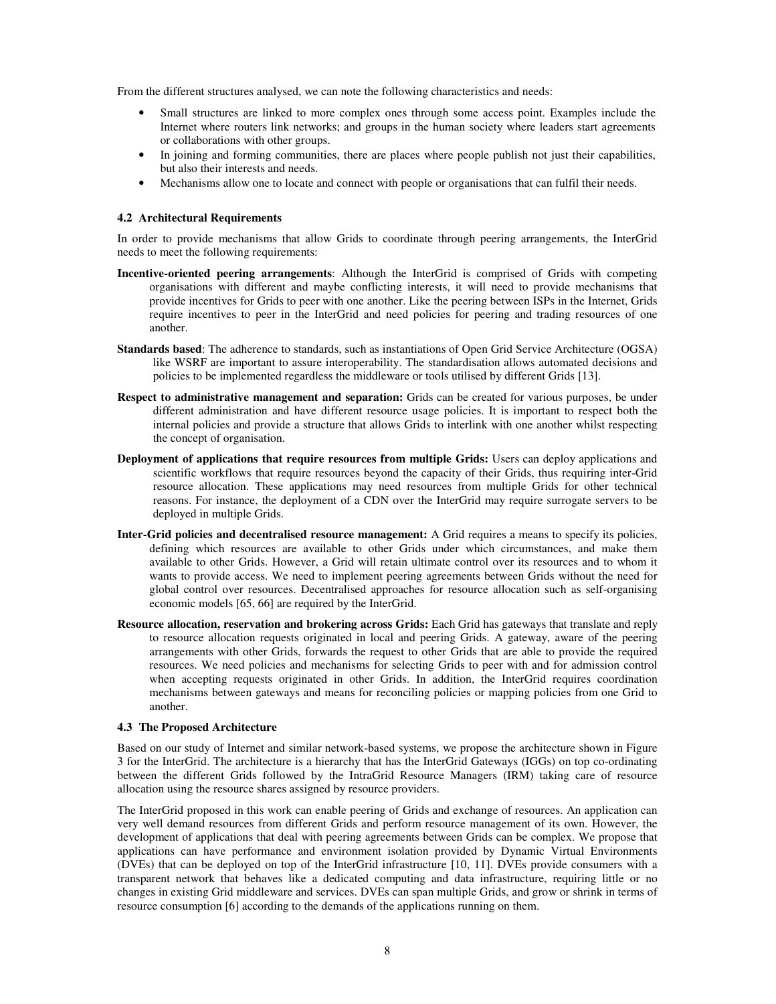From the different structures analysed, we can note the following characteristics and needs:

- Small structures are linked to more complex ones through some access point. Examples include the Internet where routers link networks; and groups in the human society where leaders start agreements or collaborations with other groups.
- In joining and forming communities, there are places where people publish not just their capabilities, but also their interests and needs.
- Mechanisms allow one to locate and connect with people or organisations that can fulfil their needs.

#### **4.2 Architectural Requirements**

In order to provide mechanisms that allow Grids to coordinate through peering arrangements, the InterGrid needs to meet the following requirements:

- **Incentive-oriented peering arrangements**: Although the InterGrid is comprised of Grids with competing organisations with different and maybe conflicting interests, it will need to provide mechanisms that provide incentives for Grids to peer with one another. Like the peering between ISPs in the Internet, Grids require incentives to peer in the InterGrid and need policies for peering and trading resources of one another.
- **Standards based**: The adherence to standards, such as instantiations of Open Grid Service Architecture (OGSA) like WSRF are important to assure interoperability. The standardisation allows automated decisions and policies to be implemented regardless the middleware or tools utilised by different Grids [13].
- **Respect to administrative management and separation:** Grids can be created for various purposes, be under different administration and have different resource usage policies. It is important to respect both the internal policies and provide a structure that allows Grids to interlink with one another whilst respecting the concept of organisation.
- **Deployment of applications that require resources from multiple Grids:** Users can deploy applications and scientific workflows that require resources beyond the capacity of their Grids, thus requiring inter-Grid resource allocation. These applications may need resources from multiple Grids for other technical reasons. For instance, the deployment of a CDN over the InterGrid may require surrogate servers to be deployed in multiple Grids.
- **Inter-Grid policies and decentralised resource management:** A Grid requires a means to specify its policies, defining which resources are available to other Grids under which circumstances, and make them available to other Grids. However, a Grid will retain ultimate control over its resources and to whom it wants to provide access. We need to implement peering agreements between Grids without the need for global control over resources. Decentralised approaches for resource allocation such as self-organising economic models [65, 66] are required by the InterGrid.
- **Resource allocation, reservation and brokering across Grids:** Each Grid has gateways that translate and reply to resource allocation requests originated in local and peering Grids. A gateway, aware of the peering arrangements with other Grids, forwards the request to other Grids that are able to provide the required resources. We need policies and mechanisms for selecting Grids to peer with and for admission control when accepting requests originated in other Grids. In addition, the InterGrid requires coordination mechanisms between gateways and means for reconciling policies or mapping policies from one Grid to another.

#### **4.3 The Proposed Architecture**

Based on our study of Internet and similar network-based systems, we propose the architecture shown in Figure 3 for the InterGrid. The architecture is a hierarchy that has the InterGrid Gateways (IGGs) on top co-ordinating between the different Grids followed by the IntraGrid Resource Managers (IRM) taking care of resource allocation using the resource shares assigned by resource providers.

The InterGrid proposed in this work can enable peering of Grids and exchange of resources. An application can very well demand resources from different Grids and perform resource management of its own. However, the development of applications that deal with peering agreements between Grids can be complex. We propose that applications can have performance and environment isolation provided by Dynamic Virtual Environments (DVEs) that can be deployed on top of the InterGrid infrastructure [10, 11]. DVEs provide consumers with a transparent network that behaves like a dedicated computing and data infrastructure, requiring little or no changes in existing Grid middleware and services. DVEs can span multiple Grids, and grow or shrink in terms of resource consumption [6] according to the demands of the applications running on them.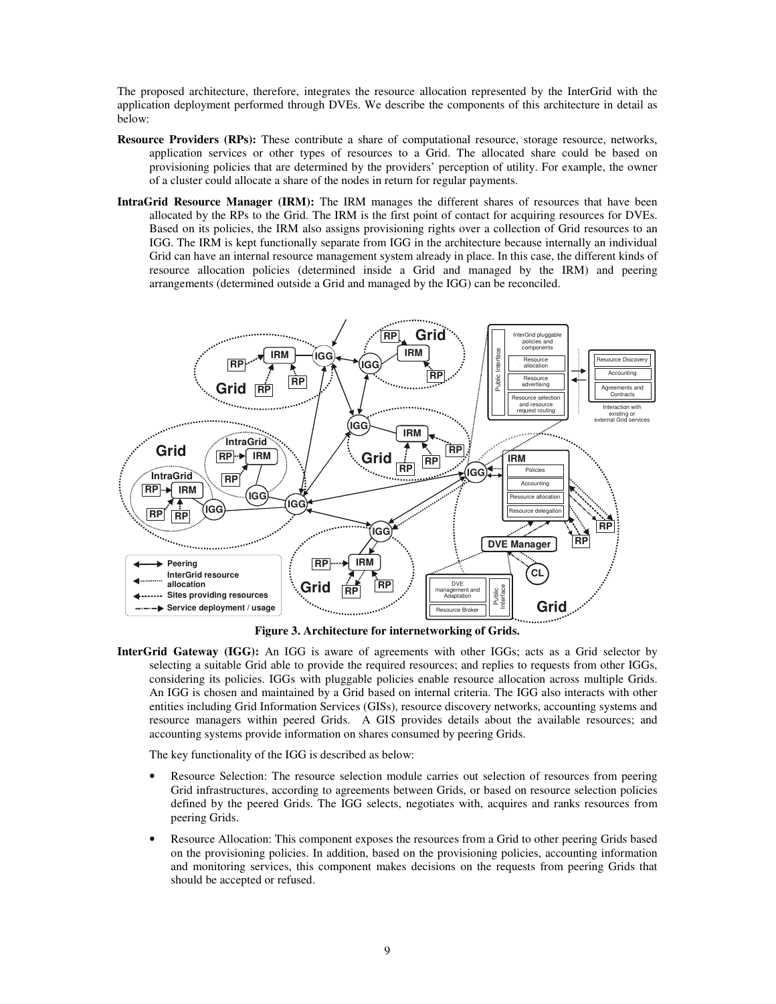The proposed architecture, therefore, integrates the resource allocation represented by the InterGrid with the application deployment performed through DVEs. We describe the components of this architecture in detail as below:

- **Resource Providers (RPs):** These contribute a share of computational resource, storage resource, networks, application services or other types of resources to a Grid. The allocated share could be based on provisioning policies that are determined by the providers' perception of utility. For example, the owner of a cluster could allocate a share of the nodes in return for regular payments.
- IntraGrid Resource Manager (IRM): The IRM manages the different shares of resources that have been allocated by the RPs to the Grid. The IRM is the first point of contact for acquiring resources for DVEs. Based on its policies, the IRM also assigns provisioning rights over a collection of Grid resources to an IGG. The IRM is kept functionally separate from IGG in the architecture because internally an individual Grid can have an internal resource management system already in place. In this case, the different kinds of resource allocation policies (determined inside a Grid and managed by the IRM) and peering arrangements (determined outside a Grid and managed by the IGG) can be reconciled.



**Figure 3. Architecture for internetworking of Grids.** 

**InterGrid Gateway (IGG):** An IGG is aware of agreements with other IGGs; acts as a Grid selector by selecting a suitable Grid able to provide the required resources; and replies to requests from other IGGs, considering its policies. IGGs with pluggable policies enable resource allocation across multiple Grids. An IGG is chosen and maintained by a Grid based on internal criteria. The IGG also interacts with other entities including Grid Information Services (GISs), resource discovery networks, accounting systems and resource managers within peered Grids. A GIS provides details about the available resources; and accounting systems provide information on shares consumed by peering Grids.

The key functionality of the IGG is described as below:

- Resource Selection: The resource selection module carries out selection of resources from peering Grid infrastructures, according to agreements between Grids, or based on resource selection policies defined by the peered Grids. The IGG selects, negotiates with, acquires and ranks resources from peering Grids.
- Resource Allocation: This component exposes the resources from a Grid to other peering Grids based on the provisioning policies. In addition, based on the provisioning policies, accounting information and monitoring services, this component makes decisions on the requests from peering Grids that should be accepted or refused.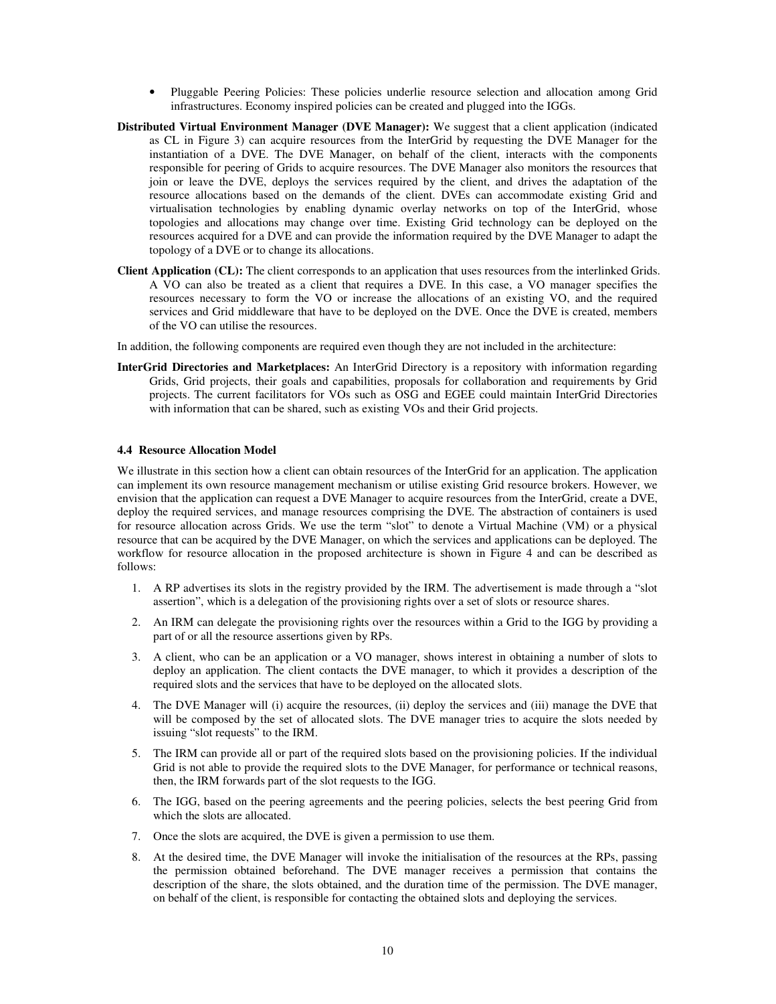- Pluggable Peering Policies: These policies underlie resource selection and allocation among Grid infrastructures. Economy inspired policies can be created and plugged into the IGGs.
- **Distributed Virtual Environment Manager (DVE Manager):** We suggest that a client application (indicated as CL in Figure 3) can acquire resources from the InterGrid by requesting the DVE Manager for the instantiation of a DVE. The DVE Manager, on behalf of the client, interacts with the components responsible for peering of Grids to acquire resources. The DVE Manager also monitors the resources that join or leave the DVE, deploys the services required by the client, and drives the adaptation of the resource allocations based on the demands of the client. DVEs can accommodate existing Grid and virtualisation technologies by enabling dynamic overlay networks on top of the InterGrid, whose topologies and allocations may change over time. Existing Grid technology can be deployed on the resources acquired for a DVE and can provide the information required by the DVE Manager to adapt the topology of a DVE or to change its allocations.
- **Client Application (CL):** The client corresponds to an application that uses resources from the interlinked Grids. A VO can also be treated as a client that requires a DVE. In this case, a VO manager specifies the resources necessary to form the VO or increase the allocations of an existing VO, and the required services and Grid middleware that have to be deployed on the DVE. Once the DVE is created, members of the VO can utilise the resources.

In addition, the following components are required even though they are not included in the architecture:

**InterGrid Directories and Marketplaces:** An InterGrid Directory is a repository with information regarding Grids, Grid projects, their goals and capabilities, proposals for collaboration and requirements by Grid projects. The current facilitators for VOs such as OSG and EGEE could maintain InterGrid Directories with information that can be shared, such as existing VOs and their Grid projects.

### **4.4 Resource Allocation Model**

We illustrate in this section how a client can obtain resources of the InterGrid for an application. The application can implement its own resource management mechanism or utilise existing Grid resource brokers. However, we envision that the application can request a DVE Manager to acquire resources from the InterGrid, create a DVE, deploy the required services, and manage resources comprising the DVE. The abstraction of containers is used for resource allocation across Grids. We use the term "slot" to denote a Virtual Machine (VM) or a physical resource that can be acquired by the DVE Manager, on which the services and applications can be deployed. The workflow for resource allocation in the proposed architecture is shown in Figure 4 and can be described as follows:

- 1. A RP advertises its slots in the registry provided by the IRM. The advertisement is made through a "slot assertion", which is a delegation of the provisioning rights over a set of slots or resource shares.
- 2. An IRM can delegate the provisioning rights over the resources within a Grid to the IGG by providing a part of or all the resource assertions given by RPs.
- 3. A client, who can be an application or a VO manager, shows interest in obtaining a number of slots to deploy an application. The client contacts the DVE manager, to which it provides a description of the required slots and the services that have to be deployed on the allocated slots.
- 4. The DVE Manager will (i) acquire the resources, (ii) deploy the services and (iii) manage the DVE that will be composed by the set of allocated slots. The DVE manager tries to acquire the slots needed by issuing "slot requests" to the IRM.
- 5. The IRM can provide all or part of the required slots based on the provisioning policies. If the individual Grid is not able to provide the required slots to the DVE Manager, for performance or technical reasons, then, the IRM forwards part of the slot requests to the IGG.
- 6. The IGG, based on the peering agreements and the peering policies, selects the best peering Grid from which the slots are allocated.
- 7. Once the slots are acquired, the DVE is given a permission to use them.
- 8. At the desired time, the DVE Manager will invoke the initialisation of the resources at the RPs, passing the permission obtained beforehand. The DVE manager receives a permission that contains the description of the share, the slots obtained, and the duration time of the permission. The DVE manager, on behalf of the client, is responsible for contacting the obtained slots and deploying the services.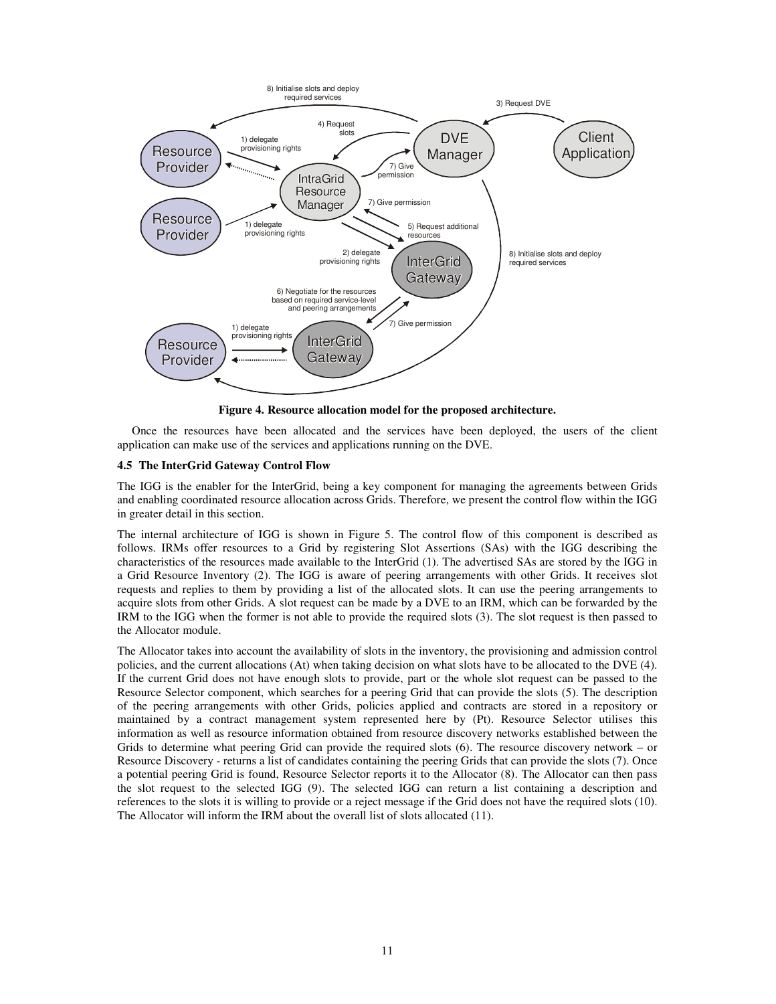

**Figure 4. Resource allocation model for the proposed architecture.** 

Once the resources have been allocated and the services have been deployed, the users of the client application can make use of the services and applications running on the DVE.

# **4.5 The InterGrid Gateway Control Flow**

The IGG is the enabler for the InterGrid, being a key component for managing the agreements between Grids and enabling coordinated resource allocation across Grids. Therefore, we present the control flow within the IGG in greater detail in this section.

The internal architecture of IGG is shown in Figure 5. The control flow of this component is described as follows. IRMs offer resources to a Grid by registering Slot Assertions (SAs) with the IGG describing the characteristics of the resources made available to the InterGrid (1). The advertised SAs are stored by the IGG in a Grid Resource Inventory (2). The IGG is aware of peering arrangements with other Grids. It receives slot requests and replies to them by providing a list of the allocated slots. It can use the peering arrangements to acquire slots from other Grids. A slot request can be made by a DVE to an IRM, which can be forwarded by the IRM to the IGG when the former is not able to provide the required slots (3). The slot request is then passed to the Allocator module.

The Allocator takes into account the availability of slots in the inventory, the provisioning and admission control policies, and the current allocations (At) when taking decision on what slots have to be allocated to the DVE (4). If the current Grid does not have enough slots to provide, part or the whole slot request can be passed to the Resource Selector component, which searches for a peering Grid that can provide the slots (5). The description of the peering arrangements with other Grids, policies applied and contracts are stored in a repository or maintained by a contract management system represented here by (Pt). Resource Selector utilises this information as well as resource information obtained from resource discovery networks established between the Grids to determine what peering Grid can provide the required slots (6). The resource discovery network – or Resource Discovery - returns a list of candidates containing the peering Grids that can provide the slots (7). Once a potential peering Grid is found, Resource Selector reports it to the Allocator (8). The Allocator can then pass the slot request to the selected IGG (9). The selected IGG can return a list containing a description and references to the slots it is willing to provide or a reject message if the Grid does not have the required slots (10). The Allocator will inform the IRM about the overall list of slots allocated (11).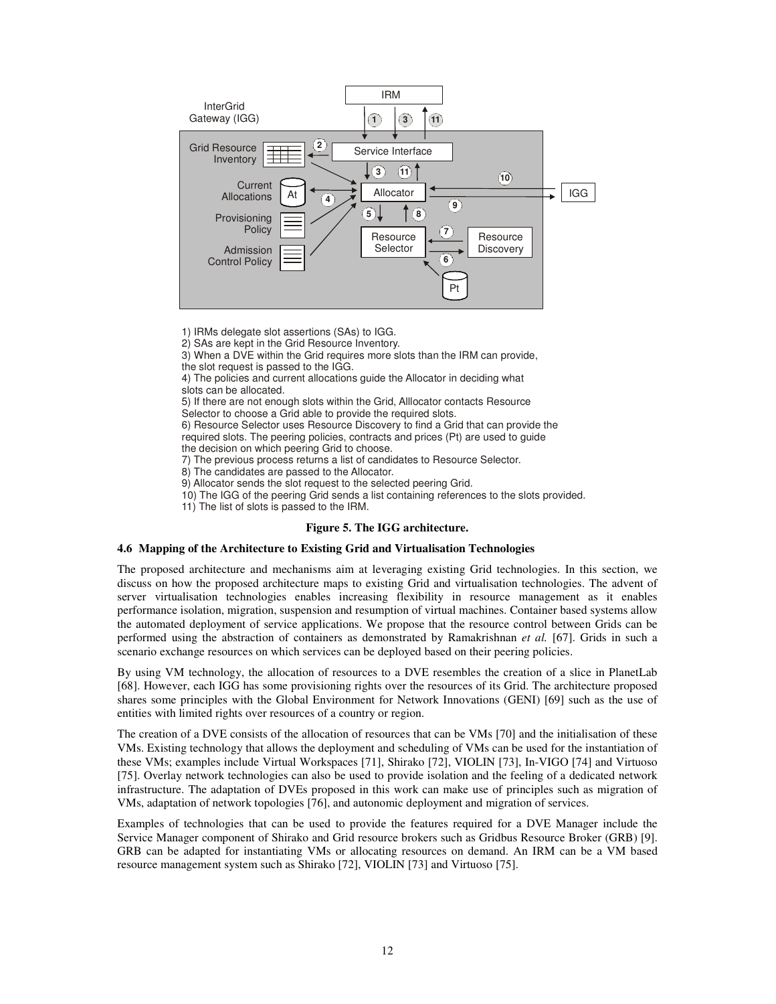

1) IRMs delegate slot assertions (SAs) to IGG.

2) SAs are kept in the Grid Resource Inventory.

3) When a DVE within the Grid requires more slots than the IRM can provide,

the slot request is passed to the IGG.

4) The policies and current allocations guide the Allocator in deciding what

slots can be allocated.

5) If there are not enough slots within the Grid, Alllocator contacts Resource

Selector to choose a Grid able to provide the required slots.

6) Resource Selector uses Resource Discovery to find a Grid that can provide the required slots. The peering policies, contracts and prices (Pt) are used to guide the decision on which peering Grid to choose.

7) The previous process returns a list of candidates to Resource Selector.

8) The candidates are passed to the Allocator.

9) Allocator sends the slot request to the selected peering Grid.

10) The IGG of the peering Grid sends a list containing references to the slots provided.

11) The list of slots is passed to the IRM.

#### **Figure 5. The IGG architecture.**

#### **4.6 Mapping of the Architecture to Existing Grid and Virtualisation Technologies**

The proposed architecture and mechanisms aim at leveraging existing Grid technologies. In this section, we discuss on how the proposed architecture maps to existing Grid and virtualisation technologies. The advent of server virtualisation technologies enables increasing flexibility in resource management as it enables performance isolation, migration, suspension and resumption of virtual machines. Container based systems allow the automated deployment of service applications. We propose that the resource control between Grids can be performed using the abstraction of containers as demonstrated by Ramakrishnan *et al.* [67]. Grids in such a scenario exchange resources on which services can be deployed based on their peering policies.

By using VM technology, the allocation of resources to a DVE resembles the creation of a slice in PlanetLab [68]. However, each IGG has some provisioning rights over the resources of its Grid. The architecture proposed shares some principles with the Global Environment for Network Innovations (GENI) [69] such as the use of entities with limited rights over resources of a country or region.

The creation of a DVE consists of the allocation of resources that can be VMs [70] and the initialisation of these VMs. Existing technology that allows the deployment and scheduling of VMs can be used for the instantiation of these VMs; examples include Virtual Workspaces [71], Shirako [72], VIOLIN [73], In-VIGO [74] and Virtuoso [75]. Overlay network technologies can also be used to provide isolation and the feeling of a dedicated network infrastructure. The adaptation of DVEs proposed in this work can make use of principles such as migration of VMs, adaptation of network topologies [76], and autonomic deployment and migration of services.

Examples of technologies that can be used to provide the features required for a DVE Manager include the Service Manager component of Shirako and Grid resource brokers such as Gridbus Resource Broker (GRB) [9]. GRB can be adapted for instantiating VMs or allocating resources on demand. An IRM can be a VM based resource management system such as Shirako [72], VIOLIN [73] and Virtuoso [75].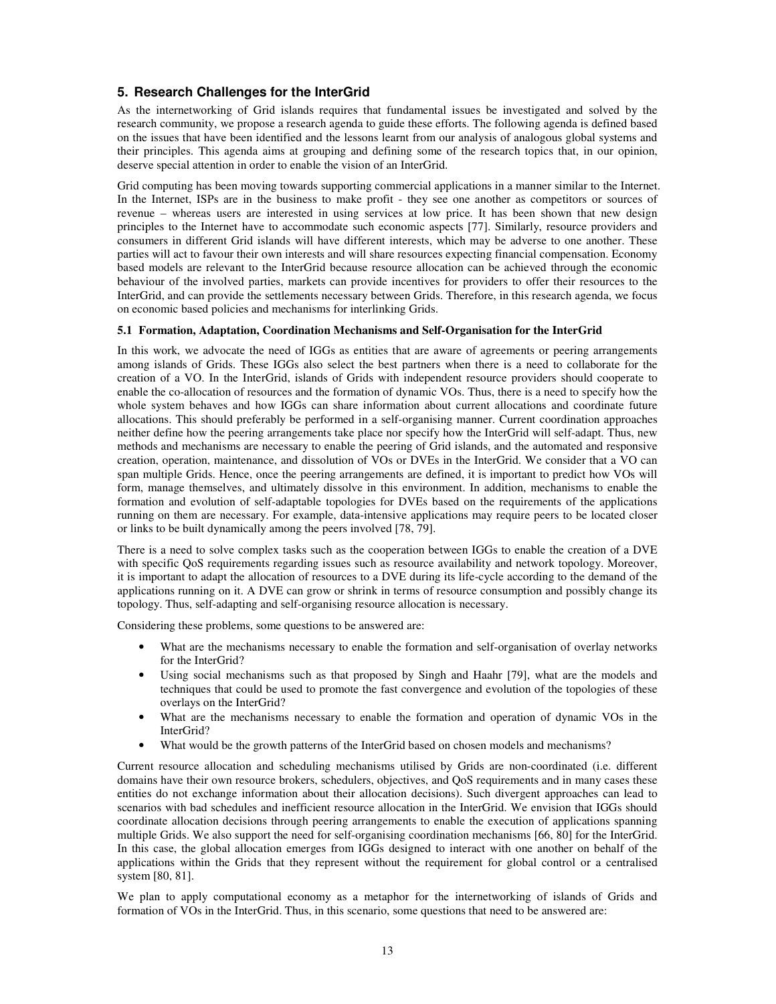# **5. Research Challenges for the InterGrid**

As the internetworking of Grid islands requires that fundamental issues be investigated and solved by the research community, we propose a research agenda to guide these efforts. The following agenda is defined based on the issues that have been identified and the lessons learnt from our analysis of analogous global systems and their principles. This agenda aims at grouping and defining some of the research topics that, in our opinion, deserve special attention in order to enable the vision of an InterGrid.

Grid computing has been moving towards supporting commercial applications in a manner similar to the Internet. In the Internet, ISPs are in the business to make profit - they see one another as competitors or sources of revenue – whereas users are interested in using services at low price. It has been shown that new design principles to the Internet have to accommodate such economic aspects [77]. Similarly, resource providers and consumers in different Grid islands will have different interests, which may be adverse to one another. These parties will act to favour their own interests and will share resources expecting financial compensation. Economy based models are relevant to the InterGrid because resource allocation can be achieved through the economic behaviour of the involved parties, markets can provide incentives for providers to offer their resources to the InterGrid, and can provide the settlements necessary between Grids. Therefore, in this research agenda, we focus on economic based policies and mechanisms for interlinking Grids.

#### **5.1 Formation, Adaptation, Coordination Mechanisms and Self-Organisation for the InterGrid**

In this work, we advocate the need of IGGs as entities that are aware of agreements or peering arrangements among islands of Grids. These IGGs also select the best partners when there is a need to collaborate for the creation of a VO. In the InterGrid, islands of Grids with independent resource providers should cooperate to enable the co-allocation of resources and the formation of dynamic VOs. Thus, there is a need to specify how the whole system behaves and how IGGs can share information about current allocations and coordinate future allocations. This should preferably be performed in a self-organising manner. Current coordination approaches neither define how the peering arrangements take place nor specify how the InterGrid will self-adapt. Thus, new methods and mechanisms are necessary to enable the peering of Grid islands, and the automated and responsive creation, operation, maintenance, and dissolution of VOs or DVEs in the InterGrid. We consider that a VO can span multiple Grids. Hence, once the peering arrangements are defined, it is important to predict how VOs will form, manage themselves, and ultimately dissolve in this environment. In addition, mechanisms to enable the formation and evolution of self-adaptable topologies for DVEs based on the requirements of the applications running on them are necessary. For example, data-intensive applications may require peers to be located closer or links to be built dynamically among the peers involved [78, 79].

There is a need to solve complex tasks such as the cooperation between IGGs to enable the creation of a DVE with specific QoS requirements regarding issues such as resource availability and network topology. Moreover, it is important to adapt the allocation of resources to a DVE during its life-cycle according to the demand of the applications running on it. A DVE can grow or shrink in terms of resource consumption and possibly change its topology. Thus, self-adapting and self-organising resource allocation is necessary.

Considering these problems, some questions to be answered are:

- What are the mechanisms necessary to enable the formation and self-organisation of overlay networks for the InterGrid?
- Using social mechanisms such as that proposed by Singh and Haahr [79], what are the models and techniques that could be used to promote the fast convergence and evolution of the topologies of these overlays on the InterGrid?
- What are the mechanisms necessary to enable the formation and operation of dynamic VOs in the InterGrid?
- What would be the growth patterns of the InterGrid based on chosen models and mechanisms?

Current resource allocation and scheduling mechanisms utilised by Grids are non-coordinated (i.e. different domains have their own resource brokers, schedulers, objectives, and QoS requirements and in many cases these entities do not exchange information about their allocation decisions). Such divergent approaches can lead to scenarios with bad schedules and inefficient resource allocation in the InterGrid. We envision that IGGs should coordinate allocation decisions through peering arrangements to enable the execution of applications spanning multiple Grids. We also support the need for self-organising coordination mechanisms [66, 80] for the InterGrid. In this case, the global allocation emerges from IGGs designed to interact with one another on behalf of the applications within the Grids that they represent without the requirement for global control or a centralised system [80, 81].

We plan to apply computational economy as a metaphor for the internetworking of islands of Grids and formation of VOs in the InterGrid. Thus, in this scenario, some questions that need to be answered are: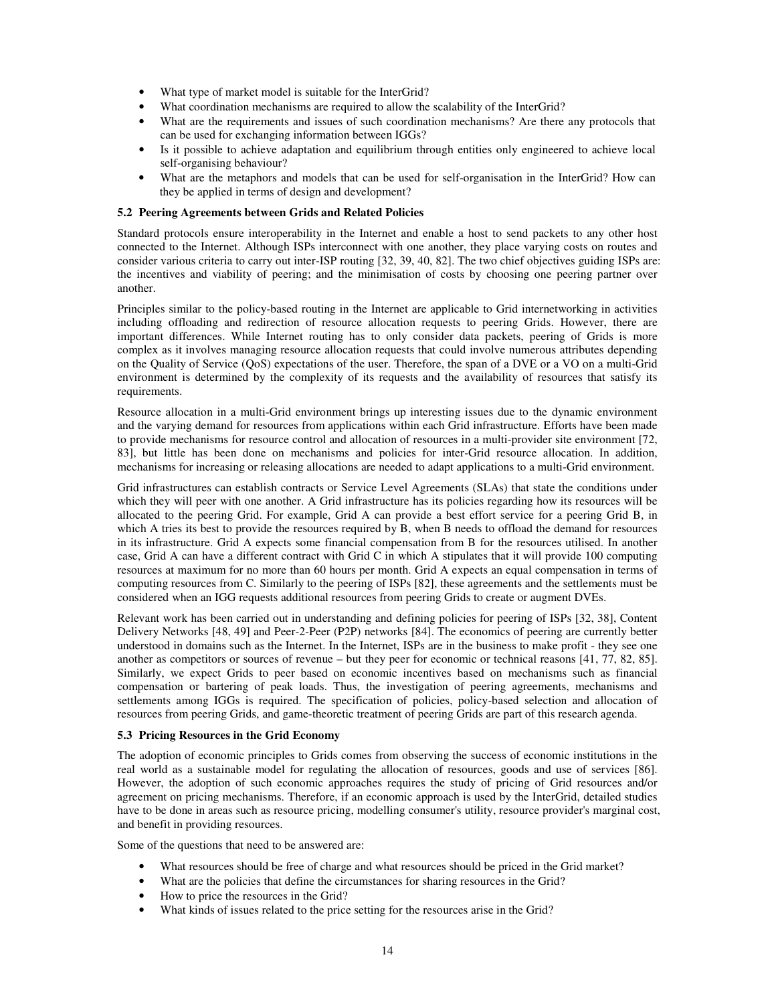- What type of market model is suitable for the InterGrid?
- What coordination mechanisms are required to allow the scalability of the InterGrid?
- What are the requirements and issues of such coordination mechanisms? Are there any protocols that can be used for exchanging information between IGGs?
- Is it possible to achieve adaptation and equilibrium through entities only engineered to achieve local self-organising behaviour?
- What are the metaphors and models that can be used for self-organisation in the InterGrid? How can they be applied in terms of design and development?

### **5.2 Peering Agreements between Grids and Related Policies**

Standard protocols ensure interoperability in the Internet and enable a host to send packets to any other host connected to the Internet. Although ISPs interconnect with one another, they place varying costs on routes and consider various criteria to carry out inter-ISP routing [32, 39, 40, 82]. The two chief objectives guiding ISPs are: the incentives and viability of peering; and the minimisation of costs by choosing one peering partner over another.

Principles similar to the policy-based routing in the Internet are applicable to Grid internetworking in activities including offloading and redirection of resource allocation requests to peering Grids. However, there are important differences. While Internet routing has to only consider data packets, peering of Grids is more complex as it involves managing resource allocation requests that could involve numerous attributes depending on the Quality of Service (QoS) expectations of the user. Therefore, the span of a DVE or a VO on a multi-Grid environment is determined by the complexity of its requests and the availability of resources that satisfy its requirements.

Resource allocation in a multi-Grid environment brings up interesting issues due to the dynamic environment and the varying demand for resources from applications within each Grid infrastructure. Efforts have been made to provide mechanisms for resource control and allocation of resources in a multi-provider site environment [72, 83], but little has been done on mechanisms and policies for inter-Grid resource allocation. In addition, mechanisms for increasing or releasing allocations are needed to adapt applications to a multi-Grid environment.

Grid infrastructures can establish contracts or Service Level Agreements (SLAs) that state the conditions under which they will peer with one another. A Grid infrastructure has its policies regarding how its resources will be allocated to the peering Grid. For example, Grid A can provide a best effort service for a peering Grid B, in which A tries its best to provide the resources required by B, when B needs to offload the demand for resources in its infrastructure. Grid A expects some financial compensation from B for the resources utilised. In another case, Grid A can have a different contract with Grid C in which A stipulates that it will provide 100 computing resources at maximum for no more than 60 hours per month. Grid A expects an equal compensation in terms of computing resources from C. Similarly to the peering of ISPs [82], these agreements and the settlements must be considered when an IGG requests additional resources from peering Grids to create or augment DVEs.

Relevant work has been carried out in understanding and defining policies for peering of ISPs [32, 38], Content Delivery Networks [48, 49] and Peer-2-Peer (P2P) networks [84]. The economics of peering are currently better understood in domains such as the Internet. In the Internet, ISPs are in the business to make profit - they see one another as competitors or sources of revenue – but they peer for economic or technical reasons [41, 77, 82, 85]. Similarly, we expect Grids to peer based on economic incentives based on mechanisms such as financial compensation or bartering of peak loads. Thus, the investigation of peering agreements, mechanisms and settlements among IGGs is required. The specification of policies, policy-based selection and allocation of resources from peering Grids, and game-theoretic treatment of peering Grids are part of this research agenda.

### **5.3 Pricing Resources in the Grid Economy**

The adoption of economic principles to Grids comes from observing the success of economic institutions in the real world as a sustainable model for regulating the allocation of resources, goods and use of services [86]. However, the adoption of such economic approaches requires the study of pricing of Grid resources and/or agreement on pricing mechanisms. Therefore, if an economic approach is used by the InterGrid, detailed studies have to be done in areas such as resource pricing, modelling consumer's utility, resource provider's marginal cost, and benefit in providing resources.

Some of the questions that need to be answered are:

- What resources should be free of charge and what resources should be priced in the Grid market?
- What are the policies that define the circumstances for sharing resources in the Grid?
- How to price the resources in the Grid?
- What kinds of issues related to the price setting for the resources arise in the Grid?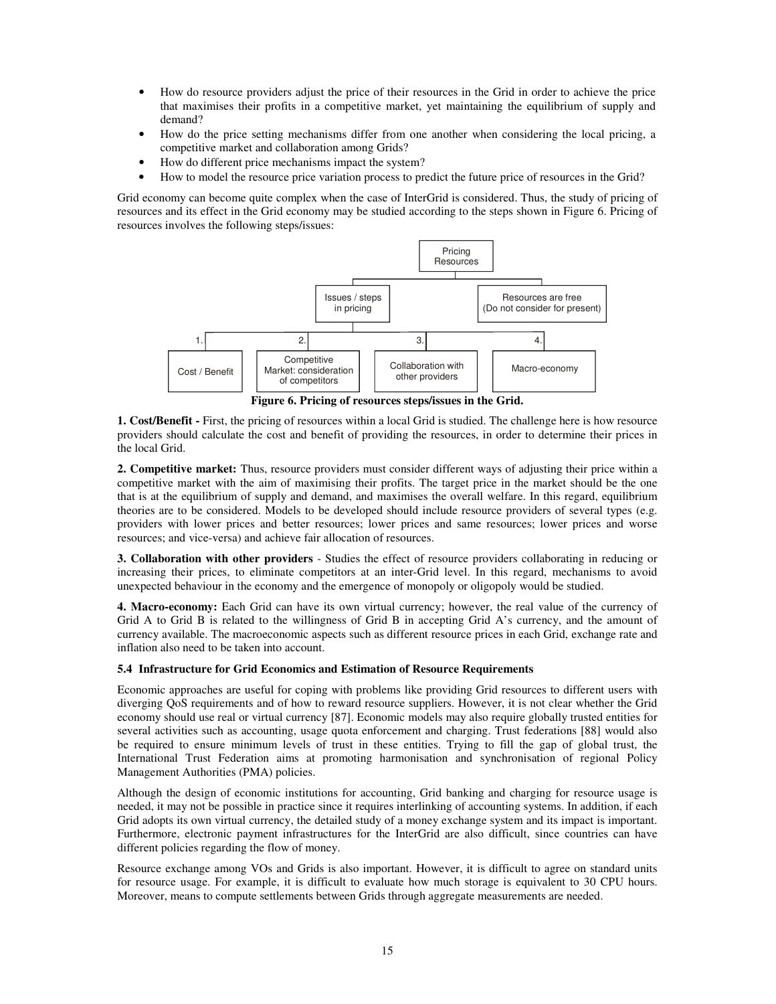- How do resource providers adjust the price of their resources in the Grid in order to achieve the price that maximises their profits in a competitive market, yet maintaining the equilibrium of supply and demand?
- How do the price setting mechanisms differ from one another when considering the local pricing, a competitive market and collaboration among Grids?
- How do different price mechanisms impact the system?
- How to model the resource price variation process to predict the future price of resources in the Grid?

Grid economy can become quite complex when the case of InterGrid is considered. Thus, the study of pricing of resources and its effect in the Grid economy may be studied according to the steps shown in Figure 6. Pricing of resources involves the following steps/issues:



**Figure 6. Pricing of resources steps/issues in the Grid.**

**1. Cost/Benefit -** First, the pricing of resources within a local Grid is studied. The challenge here is how resource providers should calculate the cost and benefit of providing the resources, in order to determine their prices in the local Grid.

**2. Competitive market:** Thus, resource providers must consider different ways of adjusting their price within a competitive market with the aim of maximising their profits. The target price in the market should be the one that is at the equilibrium of supply and demand, and maximises the overall welfare. In this regard, equilibrium theories are to be considered. Models to be developed should include resource providers of several types (e.g. providers with lower prices and better resources; lower prices and same resources; lower prices and worse resources; and vice-versa) and achieve fair allocation of resources.

**3. Collaboration with other providers** - Studies the effect of resource providers collaborating in reducing or increasing their prices, to eliminate competitors at an inter-Grid level. In this regard, mechanisms to avoid unexpected behaviour in the economy and the emergence of monopoly or oligopoly would be studied.

**4. Macro-economy:** Each Grid can have its own virtual currency; however, the real value of the currency of Grid A to Grid B is related to the willingness of Grid B in accepting Grid A's currency, and the amount of currency available. The macroeconomic aspects such as different resource prices in each Grid, exchange rate and inflation also need to be taken into account.

## **5.4 Infrastructure for Grid Economics and Estimation of Resource Requirements**

Economic approaches are useful for coping with problems like providing Grid resources to different users with diverging QoS requirements and of how to reward resource suppliers. However, it is not clear whether the Grid economy should use real or virtual currency [87]. Economic models may also require globally trusted entities for several activities such as accounting, usage quota enforcement and charging. Trust federations [88] would also be required to ensure minimum levels of trust in these entities. Trying to fill the gap of global trust, the International Trust Federation aims at promoting harmonisation and synchronisation of regional Policy Management Authorities (PMA) policies.

Although the design of economic institutions for accounting, Grid banking and charging for resource usage is needed, it may not be possible in practice since it requires interlinking of accounting systems. In addition, if each Grid adopts its own virtual currency, the detailed study of a money exchange system and its impact is important. Furthermore, electronic payment infrastructures for the InterGrid are also difficult, since countries can have different policies regarding the flow of money.

Resource exchange among VOs and Grids is also important. However, it is difficult to agree on standard units for resource usage. For example, it is difficult to evaluate how much storage is equivalent to 30 CPU hours. Moreover, means to compute settlements between Grids through aggregate measurements are needed.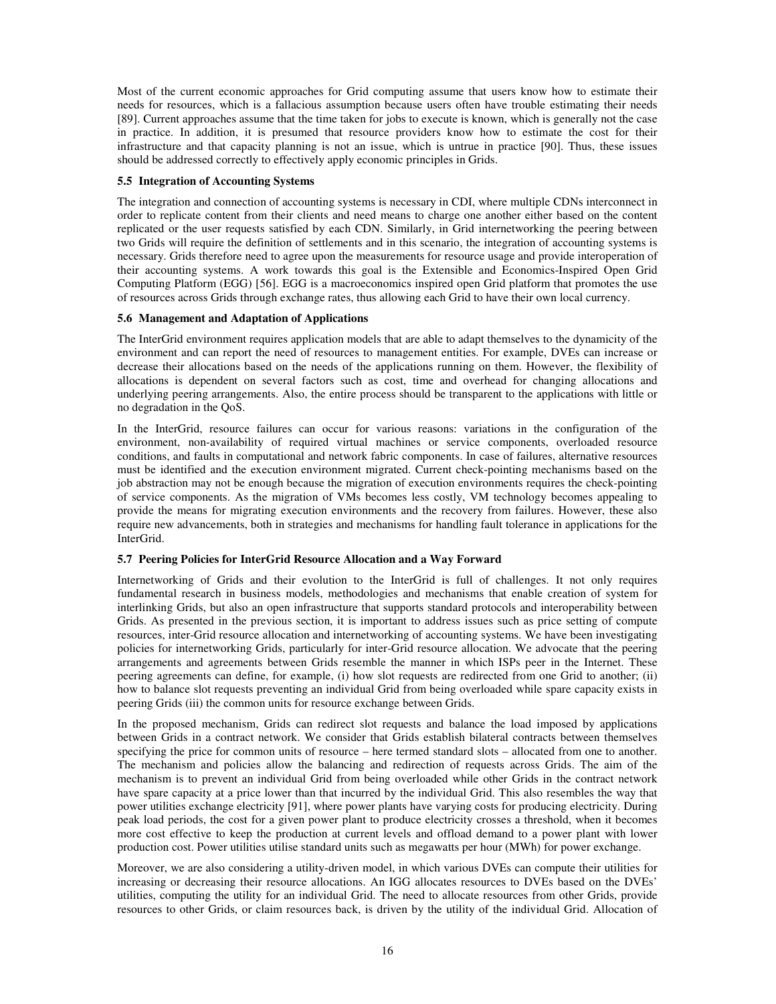Most of the current economic approaches for Grid computing assume that users know how to estimate their needs for resources, which is a fallacious assumption because users often have trouble estimating their needs [89]. Current approaches assume that the time taken for jobs to execute is known, which is generally not the case in practice. In addition, it is presumed that resource providers know how to estimate the cost for their infrastructure and that capacity planning is not an issue, which is untrue in practice [90]. Thus, these issues should be addressed correctly to effectively apply economic principles in Grids.

## **5.5 Integration of Accounting Systems**

The integration and connection of accounting systems is necessary in CDI, where multiple CDNs interconnect in order to replicate content from their clients and need means to charge one another either based on the content replicated or the user requests satisfied by each CDN. Similarly, in Grid internetworking the peering between two Grids will require the definition of settlements and in this scenario, the integration of accounting systems is necessary. Grids therefore need to agree upon the measurements for resource usage and provide interoperation of their accounting systems. A work towards this goal is the Extensible and Economics-Inspired Open Grid Computing Platform (EGG) [56]. EGG is a macroeconomics inspired open Grid platform that promotes the use of resources across Grids through exchange rates, thus allowing each Grid to have their own local currency.

## **5.6 Management and Adaptation of Applications**

The InterGrid environment requires application models that are able to adapt themselves to the dynamicity of the environment and can report the need of resources to management entities. For example, DVEs can increase or decrease their allocations based on the needs of the applications running on them. However, the flexibility of allocations is dependent on several factors such as cost, time and overhead for changing allocations and underlying peering arrangements. Also, the entire process should be transparent to the applications with little or no degradation in the QoS.

In the InterGrid, resource failures can occur for various reasons: variations in the configuration of the environment, non-availability of required virtual machines or service components, overloaded resource conditions, and faults in computational and network fabric components. In case of failures, alternative resources must be identified and the execution environment migrated. Current check-pointing mechanisms based on the job abstraction may not be enough because the migration of execution environments requires the check-pointing of service components. As the migration of VMs becomes less costly, VM technology becomes appealing to provide the means for migrating execution environments and the recovery from failures. However, these also require new advancements, both in strategies and mechanisms for handling fault tolerance in applications for the InterGrid.

## **5.7 Peering Policies for InterGrid Resource Allocation and a Way Forward**

Internetworking of Grids and their evolution to the InterGrid is full of challenges. It not only requires fundamental research in business models, methodologies and mechanisms that enable creation of system for interlinking Grids, but also an open infrastructure that supports standard protocols and interoperability between Grids. As presented in the previous section, it is important to address issues such as price setting of compute resources, inter-Grid resource allocation and internetworking of accounting systems. We have been investigating policies for internetworking Grids, particularly for inter-Grid resource allocation. We advocate that the peering arrangements and agreements between Grids resemble the manner in which ISPs peer in the Internet. These peering agreements can define, for example, (i) how slot requests are redirected from one Grid to another; (ii) how to balance slot requests preventing an individual Grid from being overloaded while spare capacity exists in peering Grids (iii) the common units for resource exchange between Grids.

In the proposed mechanism, Grids can redirect slot requests and balance the load imposed by applications between Grids in a contract network. We consider that Grids establish bilateral contracts between themselves specifying the price for common units of resource – here termed standard slots – allocated from one to another. The mechanism and policies allow the balancing and redirection of requests across Grids. The aim of the mechanism is to prevent an individual Grid from being overloaded while other Grids in the contract network have spare capacity at a price lower than that incurred by the individual Grid. This also resembles the way that power utilities exchange electricity [91], where power plants have varying costs for producing electricity. During peak load periods, the cost for a given power plant to produce electricity crosses a threshold, when it becomes more cost effective to keep the production at current levels and offload demand to a power plant with lower production cost. Power utilities utilise standard units such as megawatts per hour (MWh) for power exchange.

Moreover, we are also considering a utility-driven model, in which various DVEs can compute their utilities for increasing or decreasing their resource allocations. An IGG allocates resources to DVEs based on the DVEs' utilities, computing the utility for an individual Grid. The need to allocate resources from other Grids, provide resources to other Grids, or claim resources back, is driven by the utility of the individual Grid. Allocation of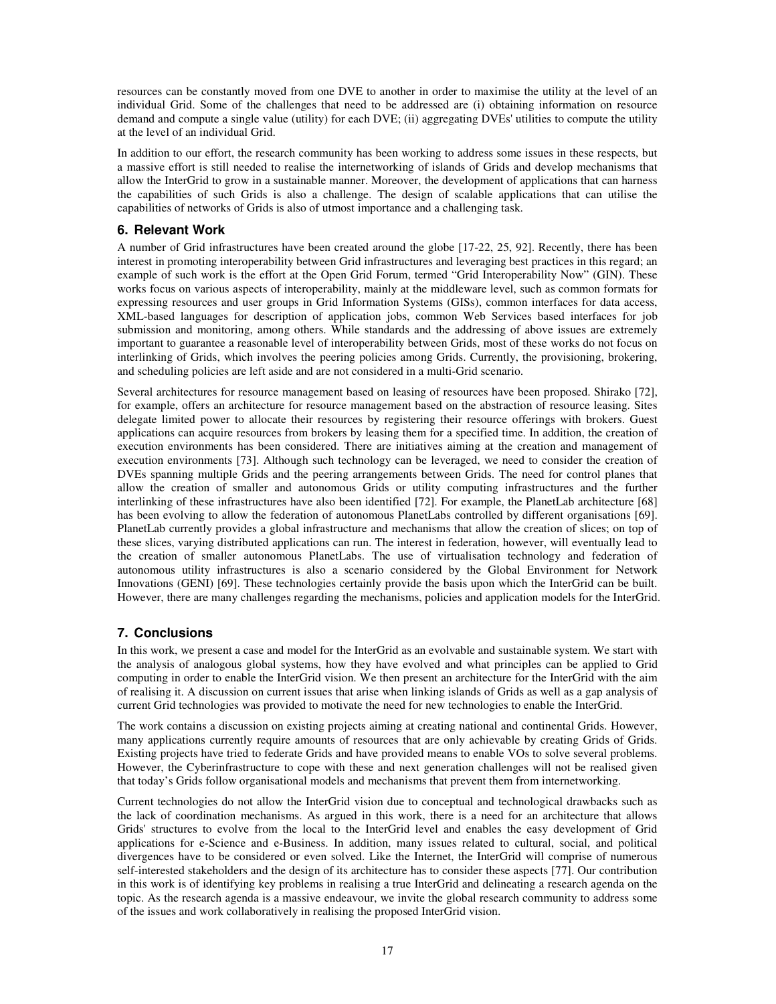resources can be constantly moved from one DVE to another in order to maximise the utility at the level of an individual Grid. Some of the challenges that need to be addressed are (i) obtaining information on resource demand and compute a single value (utility) for each DVE; (ii) aggregating DVEs' utilities to compute the utility at the level of an individual Grid.

In addition to our effort, the research community has been working to address some issues in these respects, but a massive effort is still needed to realise the internetworking of islands of Grids and develop mechanisms that allow the InterGrid to grow in a sustainable manner. Moreover, the development of applications that can harness the capabilities of such Grids is also a challenge. The design of scalable applications that can utilise the capabilities of networks of Grids is also of utmost importance and a challenging task.

# **6. Relevant Work**

A number of Grid infrastructures have been created around the globe [17-22, 25, 92]. Recently, there has been interest in promoting interoperability between Grid infrastructures and leveraging best practices in this regard; an example of such work is the effort at the Open Grid Forum, termed "Grid Interoperability Now" (GIN). These works focus on various aspects of interoperability, mainly at the middleware level, such as common formats for expressing resources and user groups in Grid Information Systems (GISs), common interfaces for data access, XML-based languages for description of application jobs, common Web Services based interfaces for job submission and monitoring, among others. While standards and the addressing of above issues are extremely important to guarantee a reasonable level of interoperability between Grids, most of these works do not focus on interlinking of Grids, which involves the peering policies among Grids. Currently, the provisioning, brokering, and scheduling policies are left aside and are not considered in a multi-Grid scenario.

Several architectures for resource management based on leasing of resources have been proposed. Shirako [72], for example, offers an architecture for resource management based on the abstraction of resource leasing. Sites delegate limited power to allocate their resources by registering their resource offerings with brokers. Guest applications can acquire resources from brokers by leasing them for a specified time. In addition, the creation of execution environments has been considered. There are initiatives aiming at the creation and management of execution environments [73]. Although such technology can be leveraged, we need to consider the creation of DVEs spanning multiple Grids and the peering arrangements between Grids. The need for control planes that allow the creation of smaller and autonomous Grids or utility computing infrastructures and the further interlinking of these infrastructures have also been identified [72]. For example, the PlanetLab architecture [68] has been evolving to allow the federation of autonomous PlanetLabs controlled by different organisations [69]. PlanetLab currently provides a global infrastructure and mechanisms that allow the creation of slices; on top of these slices, varying distributed applications can run. The interest in federation, however, will eventually lead to the creation of smaller autonomous PlanetLabs. The use of virtualisation technology and federation of autonomous utility infrastructures is also a scenario considered by the Global Environment for Network Innovations (GENI) [69]. These technologies certainly provide the basis upon which the InterGrid can be built. However, there are many challenges regarding the mechanisms, policies and application models for the InterGrid.

## **7. Conclusions**

In this work, we present a case and model for the InterGrid as an evolvable and sustainable system. We start with the analysis of analogous global systems, how they have evolved and what principles can be applied to Grid computing in order to enable the InterGrid vision. We then present an architecture for the InterGrid with the aim of realising it. A discussion on current issues that arise when linking islands of Grids as well as a gap analysis of current Grid technologies was provided to motivate the need for new technologies to enable the InterGrid.

The work contains a discussion on existing projects aiming at creating national and continental Grids. However, many applications currently require amounts of resources that are only achievable by creating Grids of Grids. Existing projects have tried to federate Grids and have provided means to enable VOs to solve several problems. However, the Cyberinfrastructure to cope with these and next generation challenges will not be realised given that today's Grids follow organisational models and mechanisms that prevent them from internetworking.

Current technologies do not allow the InterGrid vision due to conceptual and technological drawbacks such as the lack of coordination mechanisms. As argued in this work, there is a need for an architecture that allows Grids' structures to evolve from the local to the InterGrid level and enables the easy development of Grid applications for e-Science and e-Business. In addition, many issues related to cultural, social, and political divergences have to be considered or even solved. Like the Internet, the InterGrid will comprise of numerous self-interested stakeholders and the design of its architecture has to consider these aspects [77]. Our contribution in this work is of identifying key problems in realising a true InterGrid and delineating a research agenda on the topic. As the research agenda is a massive endeavour, we invite the global research community to address some of the issues and work collaboratively in realising the proposed InterGrid vision.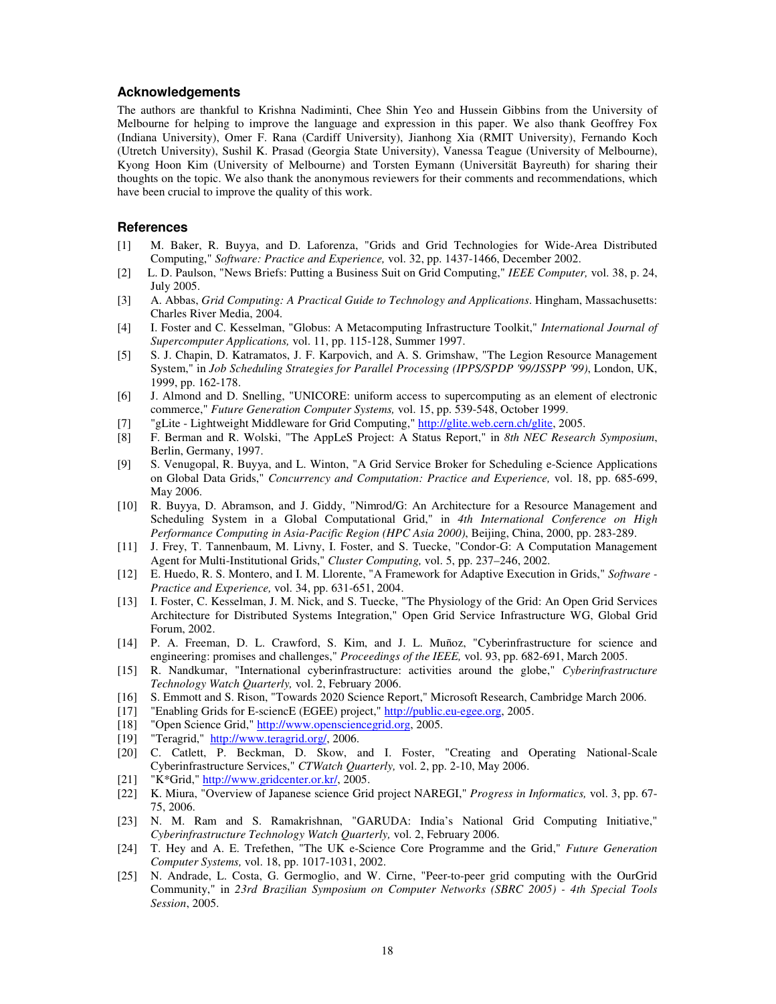## **Acknowledgements**

The authors are thankful to Krishna Nadiminti, Chee Shin Yeo and Hussein Gibbins from the University of Melbourne for helping to improve the language and expression in this paper. We also thank Geoffrey Fox (Indiana University), Omer F. Rana (Cardiff University), Jianhong Xia (RMIT University), Fernando Koch (Utretch University), Sushil K. Prasad (Georgia State University), Vanessa Teague (University of Melbourne), Kyong Hoon Kim (University of Melbourne) and Torsten Eymann (Universität Bayreuth) for sharing their thoughts on the topic. We also thank the anonymous reviewers for their comments and recommendations, which have been crucial to improve the quality of this work.

## **References**

- [1] M. Baker, R. Buyya, and D. Laforenza, "Grids and Grid Technologies for Wide-Area Distributed Computing," *Software: Practice and Experience,* vol. 32, pp. 1437-1466, December 2002.
- [2] L. D. Paulson, "News Briefs: Putting a Business Suit on Grid Computing," *IEEE Computer,* vol. 38, p. 24, July 2005.
- [3] A. Abbas, *Grid Computing: A Practical Guide to Technology and Applications*. Hingham, Massachusetts: Charles River Media, 2004.
- [4] I. Foster and C. Kesselman, "Globus: A Metacomputing Infrastructure Toolkit," *International Journal of Supercomputer Applications,* vol. 11, pp. 115-128, Summer 1997.
- [5] S. J. Chapin, D. Katramatos, J. F. Karpovich, and A. S. Grimshaw, "The Legion Resource Management System," in *Job Scheduling Strategies for Parallel Processing (IPPS/SPDP '99/JSSPP '99)*, London, UK, 1999, pp. 162-178.
- [6] J. Almond and D. Snelling, "UNICORE: uniform access to supercomputing as an element of electronic commerce," *Future Generation Computer Systems,* vol. 15, pp. 539-548, October 1999.
- [7] "gLite Lightweight Middleware for Grid Computing," http://glite.web.cern.ch/glite, 2005.
- [8] F. Berman and R. Wolski, "The AppLeS Project: A Status Report," in *8th NEC Research Symposium*, Berlin, Germany, 1997.
- [9] S. Venugopal, R. Buyya, and L. Winton, "A Grid Service Broker for Scheduling e-Science Applications on Global Data Grids," *Concurrency and Computation: Practice and Experience,* vol. 18, pp. 685-699, May 2006.
- [10] R. Buyya, D. Abramson, and J. Giddy, "Nimrod/G: An Architecture for a Resource Management and Scheduling System in a Global Computational Grid," in *4th International Conference on High Performance Computing in Asia-Pacific Region (HPC Asia 2000)*, Beijing, China, 2000, pp. 283-289.
- [11] J. Frey, T. Tannenbaum, M. Livny, I. Foster, and S. Tuecke, "Condor-G: A Computation Management Agent for Multi-Institutional Grids," *Cluster Computing,* vol. 5, pp. 237–246, 2002.
- [12] E. Huedo, R. S. Montero, and I. M. Llorente, "A Framework for Adaptive Execution in Grids," *Software Practice and Experience,* vol. 34, pp. 631-651, 2004.
- [13] I. Foster, C. Kesselman, J. M. Nick, and S. Tuecke, "The Physiology of the Grid: An Open Grid Services Architecture for Distributed Systems Integration," Open Grid Service Infrastructure WG, Global Grid Forum, 2002.
- [14] P. A. Freeman, D. L. Crawford, S. Kim, and J. L. Muñoz, "Cyberinfrastructure for science and engineering: promises and challenges," *Proceedings of the IEEE,* vol. 93, pp. 682-691, March 2005.
- [15] R. Nandkumar, "International cyberinfrastructure: activities around the globe," *Cyberinfrastructure Technology Watch Quarterly,* vol. 2, February 2006.
- [16] S. Emmott and S. Rison, "Towards 2020 Science Report," Microsoft Research, Cambridge March 2006.
- [17] "Enabling Grids for E-sciencE (EGEE) project," http://public.eu-egee.org, 2005.
- [18] "Open Science Grid," http://www.opensciencegrid.org, 2005.
- [19] "Teragrid," http://www.teragrid.org/, 2006.
- [20] C. Catlett, P. Beckman, D. Skow, and I. Foster, "Creating and Operating National-Scale Cyberinfrastructure Services," *CTWatch Quarterly,* vol. 2, pp. 2-10, May 2006.
- [21] "K\*Grid," http://www.gridcenter.or.kr/, 2005.
- [22] K. Miura, "Overview of Japanese science Grid project NAREGI," *Progress in Informatics,* vol. 3, pp. 67- 75, 2006.
- [23] N. M. Ram and S. Ramakrishnan, "GARUDA: India's National Grid Computing Initiative," *Cyberinfrastructure Technology Watch Quarterly,* vol. 2, February 2006.
- [24] T. Hey and A. E. Trefethen, "The UK e-Science Core Programme and the Grid," *Future Generation Computer Systems,* vol. 18, pp. 1017-1031, 2002.
- [25] N. Andrade, L. Costa, G. Germoglio, and W. Cirne, "Peer-to-peer grid computing with the OurGrid Community," in *23rd Brazilian Symposium on Computer Networks (SBRC 2005) - 4th Special Tools Session*, 2005.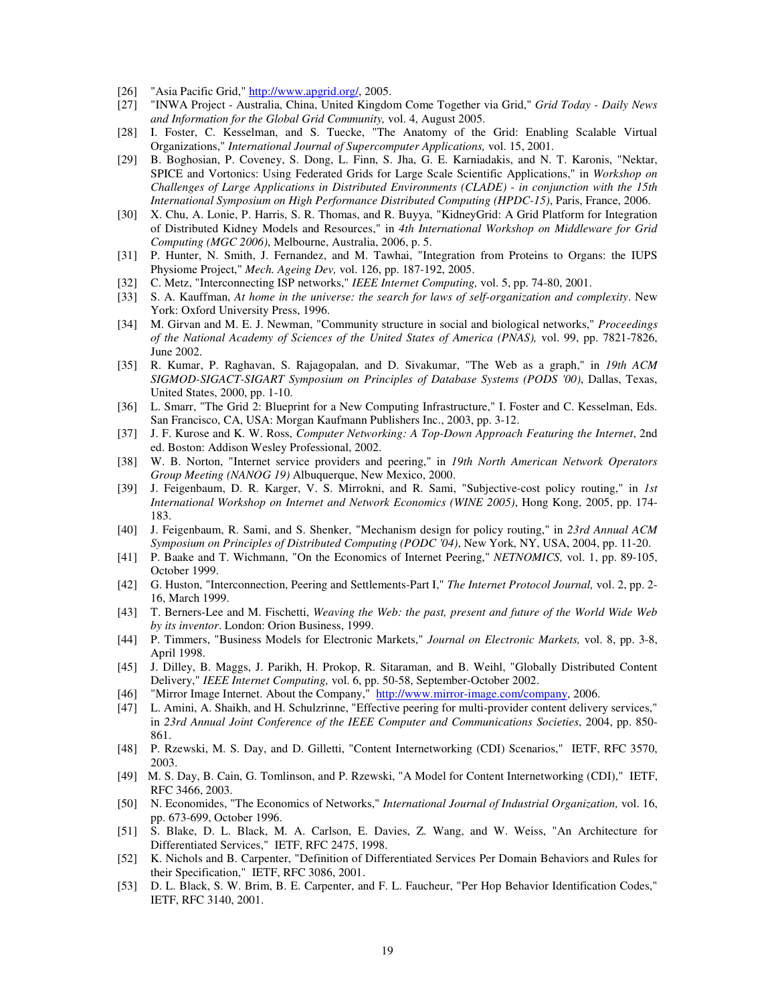- [26] "Asia Pacific Grid," http://www.apgrid.org/, 2005.
- [27] "INWA Project Australia, China, United Kingdom Come Together via Grid," *Grid Today Daily News and Information for the Global Grid Community,* vol. 4, August 2005.
- [28] I. Foster, C. Kesselman, and S. Tuecke, "The Anatomy of the Grid: Enabling Scalable Virtual Organizations," *International Journal of Supercomputer Applications,* vol. 15, 2001.
- [29] B. Boghosian, P. Coveney, S. Dong, L. Finn, S. Jha, G. E. Karniadakis, and N. T. Karonis, "Nektar, SPICE and Vortonics: Using Federated Grids for Large Scale Scientific Applications," in *Workshop on Challenges of Large Applications in Distributed Environments (CLADE) - in conjunction with the 15th International Symposium on High Performance Distributed Computing (HPDC-15)*, Paris, France, 2006.
- [30] X. Chu, A. Lonie, P. Harris, S. R. Thomas, and R. Buyya, "KidneyGrid: A Grid Platform for Integration of Distributed Kidney Models and Resources," in *4th International Workshop on Middleware for Grid Computing (MGC 2006)*, Melbourne, Australia, 2006, p. 5.
- [31] P. Hunter, N. Smith, J. Fernandez, and M. Tawhai, "Integration from Proteins to Organs: the IUPS Physiome Project," *Mech. Ageing Dev,* vol. 126, pp. 187-192, 2005.
- [32] C. Metz, "Interconnecting ISP networks," *IEEE Internet Computing,* vol. 5, pp. 74-80, 2001.
- [33] S. A. Kauffman, *At home in the universe: the search for laws of self-organization and complexity*. New York: Oxford University Press, 1996.
- [34] M. Girvan and M. E. J. Newman, "Community structure in social and biological networks," *Proceedings of the National Academy of Sciences of the United States of America (PNAS),* vol. 99, pp. 7821-7826, June 2002.
- [35] R. Kumar, P. Raghavan, S. Rajagopalan, and D. Sivakumar, "The Web as a graph," in *19th ACM SIGMOD-SIGACT-SIGART Symposium on Principles of Database Systems (PODS '00)*, Dallas, Texas, United States, 2000, pp. 1-10.
- [36] L. Smarr, "The Grid 2: Blueprint for a New Computing Infrastructure," I. Foster and C. Kesselman, Eds. San Francisco, CA, USA: Morgan Kaufmann Publishers Inc., 2003, pp. 3-12.
- [37] J. F. Kurose and K. W. Ross, *Computer Networking: A Top-Down Approach Featuring the Internet*, 2nd ed. Boston: Addison Wesley Professional, 2002.
- [38] W. B. Norton, "Internet service providers and peering," in *19th North American Network Operators Group Meeting (NANOG 19)* Albuquerque, New Mexico, 2000.
- [39] J. Feigenbaum, D. R. Karger, V. S. Mirrokni, and R. Sami, "Subjective-cost policy routing," in *1st International Workshop on Internet and Network Economics (WINE 2005)*, Hong Kong, 2005, pp. 174- 183.
- [40] J. Feigenbaum, R. Sami, and S. Shenker, "Mechanism design for policy routing," in *23rd Annual ACM Symposium on Principles of Distributed Computing (PODC '04)*, New York, NY, USA, 2004, pp. 11-20.
- [41] P. Baake and T. Wichmann, "On the Economics of Internet Peering," *NETNOMICS,* vol. 1, pp. 89-105, October 1999.
- [42] G. Huston, "Interconnection, Peering and Settlements-Part I," *The Internet Protocol Journal,* vol. 2, pp. 2- 16, March 1999.
- [43] T. Berners-Lee and M. Fischetti, *Weaving the Web: the past, present and future of the World Wide Web by its inventor*. London: Orion Business, 1999.
- [44] P. Timmers, "Business Models for Electronic Markets," *Journal on Electronic Markets,* vol. 8, pp. 3-8, April 1998.
- [45] J. Dilley, B. Maggs, J. Parikh, H. Prokop, R. Sitaraman, and B. Weihl, "Globally Distributed Content Delivery," *IEEE Internet Computing,* vol. 6, pp. 50-58, September-October 2002.
- [46] "Mirror Image Internet. About the Company," http://www.mirror-image.com/company, 2006.
- [47] L. Amini, A. Shaikh, and H. Schulzrinne, "Effective peering for multi-provider content delivery services," in *23rd Annual Joint Conference of the IEEE Computer and Communications Societies*, 2004, pp. 850- 861.
- [48] P. Rzewski, M. S. Day, and D. Gilletti, "Content Internetworking (CDI) Scenarios," IETF, RFC 3570, 2003.
- [49] M. S. Day, B. Cain, G. Tomlinson, and P. Rzewski, "A Model for Content Internetworking (CDI)," IETF, RFC 3466, 2003.
- [50] N. Economides, "The Economics of Networks," *International Journal of Industrial Organization,* vol. 16, pp. 673-699, October 1996.
- [51] S. Blake, D. L. Black, M. A. Carlson, E. Davies, Z. Wang, and W. Weiss, "An Architecture for Differentiated Services," IETF, RFC 2475, 1998.
- [52] K. Nichols and B. Carpenter, "Definition of Differentiated Services Per Domain Behaviors and Rules for their Specification," IETF, RFC 3086, 2001.
- [53] D. L. Black, S. W. Brim, B. E. Carpenter, and F. L. Faucheur, "Per Hop Behavior Identification Codes," IETF, RFC 3140, 2001.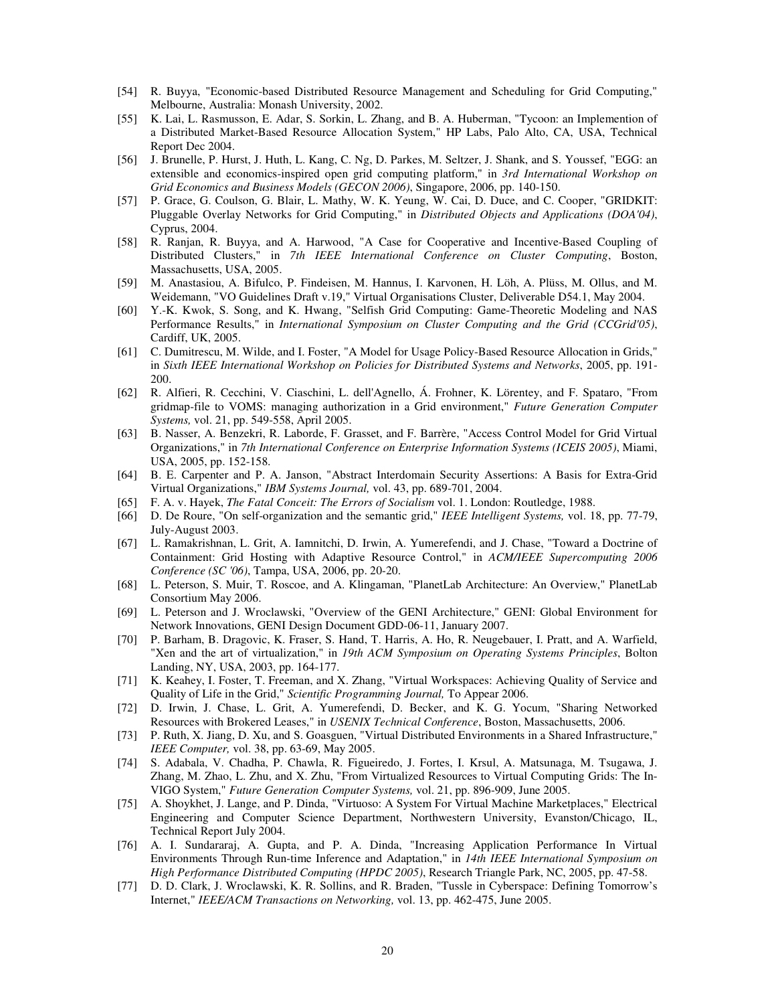- [54] R. Buyya, "Economic-based Distributed Resource Management and Scheduling for Grid Computing," Melbourne, Australia: Monash University, 2002.
- [55] K. Lai, L. Rasmusson, E. Adar, S. Sorkin, L. Zhang, and B. A. Huberman, "Tycoon: an Implemention of a Distributed Market-Based Resource Allocation System," HP Labs, Palo Alto, CA, USA, Technical Report Dec 2004.
- [56] J. Brunelle, P. Hurst, J. Huth, L. Kang, C. Ng, D. Parkes, M. Seltzer, J. Shank, and S. Youssef, "EGG: an extensible and economics-inspired open grid computing platform," in *3rd International Workshop on Grid Economics and Business Models (GECON 2006)*, Singapore, 2006, pp. 140-150.
- [57] P. Grace, G. Coulson, G. Blair, L. Mathy, W. K. Yeung, W. Cai, D. Duce, and C. Cooper, "GRIDKIT: Pluggable Overlay Networks for Grid Computing," in *Distributed Objects and Applications (DOA'04)*, Cyprus, 2004.
- [58] R. Ranjan, R. Buyya, and A. Harwood, "A Case for Cooperative and Incentive-Based Coupling of Distributed Clusters," in *7th IEEE International Conference on Cluster Computing*, Boston, Massachusetts, USA, 2005.
- [59] M. Anastasiou, A. Bifulco, P. Findeisen, M. Hannus, I. Karvonen, H. Löh, A. Plüss, M. Ollus, and M. Weidemann, "VO Guidelines Draft v.19," Virtual Organisations Cluster, Deliverable D54.1, May 2004.
- [60] Y.-K. Kwok, S. Song, and K. Hwang, "Selfish Grid Computing: Game-Theoretic Modeling and NAS Performance Results," in *International Symposium on Cluster Computing and the Grid (CCGrid'05)*, Cardiff, UK, 2005.
- [61] C. Dumitrescu, M. Wilde, and I. Foster, "A Model for Usage Policy-Based Resource Allocation in Grids," in *Sixth IEEE International Workshop on Policies for Distributed Systems and Networks*, 2005, pp. 191- 200.
- [62] R. Alfieri, R. Cecchini, V. Ciaschini, L. dell'Agnello, Á. Frohner, K. Lörentey, and F. Spataro, "From gridmap-file to VOMS: managing authorization in a Grid environment," *Future Generation Computer Systems,* vol. 21, pp. 549-558, April 2005.
- [63] B. Nasser, A. Benzekri, R. Laborde, F. Grasset, and F. Barrère, "Access Control Model for Grid Virtual Organizations," in *7th International Conference on Enterprise Information Systems (ICEIS 2005)*, Miami, USA, 2005, pp. 152-158.
- [64] B. E. Carpenter and P. A. Janson, "Abstract Interdomain Security Assertions: A Basis for Extra-Grid Virtual Organizations," *IBM Systems Journal,* vol. 43, pp. 689-701, 2004.
- [65] F. A. v. Hayek, *The Fatal Conceit: The Errors of Socialism* vol. 1. London: Routledge, 1988.
- [66] D. De Roure, "On self-organization and the semantic grid," *IEEE Intelligent Systems,* vol. 18, pp. 77-79, July-August 2003.
- [67] L. Ramakrishnan, L. Grit, A. Iamnitchi, D. Irwin, A. Yumerefendi, and J. Chase, "Toward a Doctrine of Containment: Grid Hosting with Adaptive Resource Control," in *ACM/IEEE Supercomputing 2006 Conference (SC '06)*, Tampa, USA, 2006, pp. 20-20.
- [68] L. Peterson, S. Muir, T. Roscoe, and A. Klingaman, "PlanetLab Architecture: An Overview," PlanetLab Consortium May 2006.
- [69] L. Peterson and J. Wroclawski, "Overview of the GENI Architecture," GENI: Global Environment for Network Innovations, GENI Design Document GDD-06-11, January 2007.
- [70] P. Barham, B. Dragovic, K. Fraser, S. Hand, T. Harris, A. Ho, R. Neugebauer, I. Pratt, and A. Warfield, "Xen and the art of virtualization," in *19th ACM Symposium on Operating Systems Principles*, Bolton Landing, NY, USA, 2003, pp. 164-177.
- [71] K. Keahey, I. Foster, T. Freeman, and X. Zhang, "Virtual Workspaces: Achieving Quality of Service and Quality of Life in the Grid," *Scientific Programming Journal,* To Appear 2006.
- [72] D. Irwin, J. Chase, L. Grit, A. Yumerefendi, D. Becker, and K. G. Yocum, "Sharing Networked Resources with Brokered Leases," in *USENIX Technical Conference*, Boston, Massachusetts, 2006.
- [73] P. Ruth, X. Jiang, D. Xu, and S. Goasguen, "Virtual Distributed Environments in a Shared Infrastructure," *IEEE Computer,* vol. 38, pp. 63-69, May 2005.
- [74] S. Adabala, V. Chadha, P. Chawla, R. Figueiredo, J. Fortes, I. Krsul, A. Matsunaga, M. Tsugawa, J. Zhang, M. Zhao, L. Zhu, and X. Zhu, "From Virtualized Resources to Virtual Computing Grids: The In-VIGO System," *Future Generation Computer Systems,* vol. 21, pp. 896-909, June 2005.
- [75] A. Shoykhet, J. Lange, and P. Dinda, "Virtuoso: A System For Virtual Machine Marketplaces," Electrical Engineering and Computer Science Department, Northwestern University, Evanston/Chicago, IL, Technical Report July 2004.
- [76] A. I. Sundararaj, A. Gupta, and P. A. Dinda, "Increasing Application Performance In Virtual Environments Through Run-time Inference and Adaptation," in *14th IEEE International Symposium on High Performance Distributed Computing (HPDC 2005)*, Research Triangle Park, NC, 2005, pp. 47-58.
- [77] D. D. Clark, J. Wroclawski, K. R. Sollins, and R. Braden, "Tussle in Cyberspace: Defining Tomorrow's Internet," *IEEE/ACM Transactions on Networking,* vol. 13, pp. 462-475, June 2005.